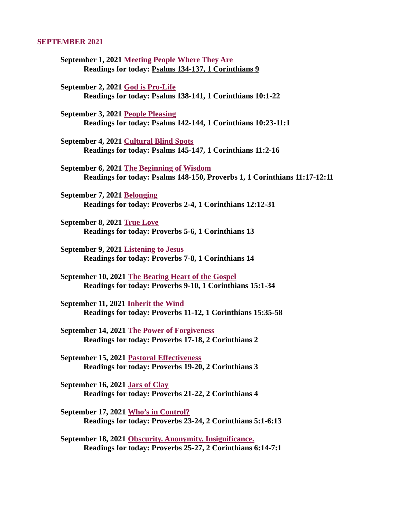#### SEPTEMBER 2021

- September 1, 2021 Meeting People Where They Are [Readings for today: Psalms 134-137, 1 Corinthians 9](#page-2-0)
- September 2, 2021 God is Pro-Life [Readings for today: Psalms 138-141, 1 Corinthians 10:1-22](#page-4-0)
- September 3, 2021 People Pleasing [Readings for today: Psalms 142-144, 1 Corinthians 10:23-11:1](#page-6-0)
- September 4, 2021 Cultural Blind Spots [Readings for today: Psalms 145-147, 1 Corinthians 11:2-16](#page-8-0)
- September 6, 2021 The Beginning of Wisdom [Readings for today: Psalms 148-150, Proverbs 1, 1 Corinthians 11:17-12:11](#page-10-0)
- September 7, 2021 Belonging [Readings for today: Proverbs 2-4, 1 Corinthians 12:12-31](#page-11-0)
- September 8, 2021 True Love [Readings for today: Proverbs 5-6, 1 Corinthians 13](#page-13-0)
- September 9, 2021 Listening to Jesus [Readings for today: Proverbs 7-8, 1 Corinthians 14](#page-15-0)
- September 10, 2021 The Beating Heart of the Gospel [Readings for today: Proverbs 9-10, 1 Corinthians 15:1-34](#page-16-0)
- September 11, 2021 Inherit the Wind [Readings for today: Proverbs 11-12, 1 Corinthians 15:35-58](#page-17-0)
- September 14, 2021 The Power of Forgiveness [Readings for today: Proverbs 17-18, 2 Corinthians 2](#page-18-0)
- September 15, 2021 Pastoral Effectiveness [Readings for today: Proverbs 19-20, 2 Corinthians 3](#page-20-0)
- September 16, 2021 Jars of Clay [Readings for today: Proverbs 21-22, 2 Corinthians 4](#page-22-0)
- September 17, 2021 Who's in Control? [Readings for today: Proverbs 23-24, 2 Corinthians 5:1-6:13](#page-24-0)
- September 18, 2021 Obscurity. Anonymity. Insignificance. [Readings for today: Proverbs 25-27, 2 Corinthians 6:14-7:1](#page-26-0)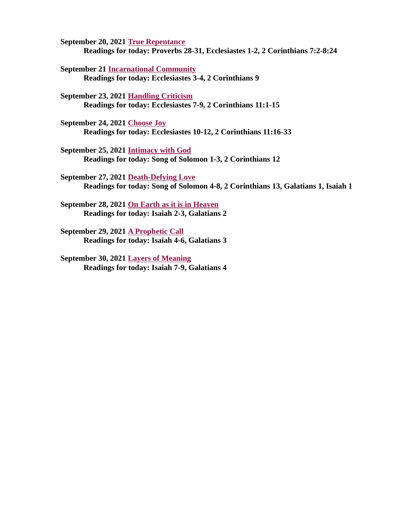September 20, 2021 True Repentance [Readings for today: Proverbs 28-31, Ecclesiastes 1-2, 2 Corinthians 7:2-8:24](#page-28-0)

September 21 Incarnational Community [Readings for today: Ecclesiastes 3-4, 2 Corinthians 9](#page-29-0)

September 23, 2021 Handling Criticism [Readings for today: Ecclesiastes 7-9, 2 Corinthians 11:1-15](#page-30-0)

September 24, 2021 Choose Joy [Readings for today: Ecclesiastes 10-12, 2 Corinthians 11:16-33](#page-32-0)

September 25, 2021 Intimacy with God [Readings for today: Song of Solomon 1-3, 2 Corinthians 12](#page-34-0)

September 27, 2021 Death-Defying Love [Readings for today: Song of Solomon 4-8, 2 Corinthians 13, Galatians 1, Isaiah 1](#page-36-0)

[September 28, 2021 On Earth as it is in Heaven](#page-37-0) Readings for today: Isaiah 2-3, Galatians 2

September 29, 2021 A Prophetic Call [Readings for today: Isaiah 4-6, Galatians 3](#page-39-0)

September 30, 2021 Layers of Meaning [Readings for today: Isaiah 7-9, Galatians 4](#page-41-0)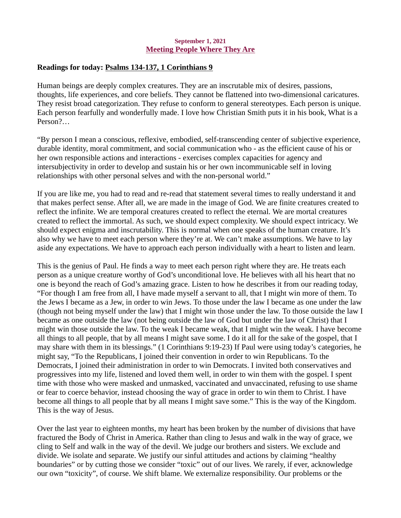#### September 1, 2021 Meeting People Where They Are

# <span id="page-2-0"></span>Readings for today: [Psalms 134-137, 1 Corinthians 9](https://www.biblegateway.com/passage/?search=Psalms+134-137%2C+1+Corinthians+9&version=NKJV)

Human beings are deeply complex creatures. They are an inscrutable mix of desires, passions, thoughts, life experiences, and core beliefs. They cannot be flattened into two-dimensional caricatures. They resist broad categorization. They refuse to conform to general stereotypes. Each person is unique. Each person fearfully and wonderfully made. I love how Christian Smith puts it in his book, What is a Person?…

"By person I mean a conscious, reflexive, embodied, self-transcending center of subjective experience, durable identity, moral commitment, and social communication who - as the efficient cause of his or her own responsible actions and interactions - exercises complex capacities for agency and intersubjectivity in order to develop and sustain his or her own incommunicable self in loving relationships with other personal selves and with the non-personal world."

If you are like me, you had to read and re-read that statement several times to really understand it and that makes perfect sense. After all, we are made in the image of God. We are finite creatures created to reflect the infinite. We are temporal creatures created to reflect the eternal. We are mortal creatures created to reflect the immortal. As such, we should expect complexity. We should expect intricacy. We should expect enigma and inscrutability. This is normal when one speaks of the human creature. It's also why we have to meet each person where they're at. We can't make assumptions. We have to lay aside any expectations. We have to approach each person individually with a heart to listen and learn.

This is the genius of Paul. He finds a way to meet each person right where they are. He treats each person as a unique creature worthy of God's unconditional love. He believes with all his heart that no one is beyond the reach of God's amazing grace. Listen to how he describes it from our reading today, "For though I am free from all, I have made myself a servant to all, that I might win more of them. To the Jews I became as a Jew, in order to win Jews. To those under the law I became as one under the law (though not being myself under the law) that I might win those under the law. To those outside the law I became as one outside the law (not being outside the law of God but under the law of Christ) that I might win those outside the law. To the weak I became weak, that I might win the weak. I have become all things to all people, that by all means I might save some. I do it all for the sake of the gospel, that I may share with them in its blessings." (1 Corinthians 9:19-23) If Paul were using today's categories, he might say, "To the Republicans, I joined their convention in order to win Republicans. To the Democrats, I joined their administration in order to win Democrats. I invited both conservatives and progressives into my life, listened and loved them well, in order to win them with the gospel. I spent time with those who were masked and unmasked, vaccinated and unvaccinated, refusing to use shame or fear to coerce behavior, instead choosing the way of grace in order to win them to Christ. I have become all things to all people that by all means I might save some." This is the way of the Kingdom. This is the way of Jesus.

Over the last year to eighteen months, my heart has been broken by the number of divisions that have fractured the Body of Christ in America. Rather than cling to Jesus and walk in the way of grace, we cling to Self and walk in the way of the devil. We judge our brothers and sisters. We exclude and divide. We isolate and separate. We justify our sinful attitudes and actions by claiming "healthy boundaries" or by cutting those we consider "toxic" out of our lives. We rarely, if ever, acknowledge our own "toxicity", of course. We shift blame. We externalize responsibility. Our problems or the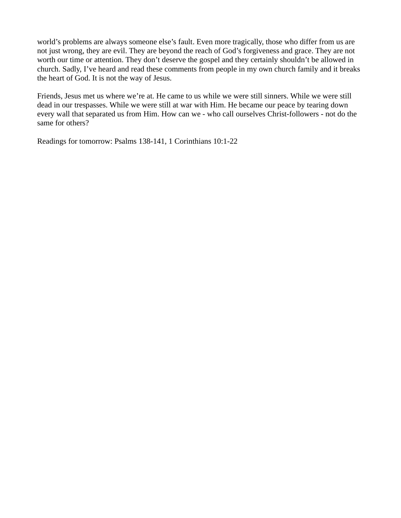world's problems are always someone else's fault. Even more tragically, those who differ from us are not just wrong, they are evil. They are beyond the reach of God's forgiveness and grace. They are not worth our time or attention. They don't deserve the gospel and they certainly shouldn't be allowed in church. Sadly, I've heard and read these comments from people in my own church family and it breaks the heart of God. It is not the way of Jesus.

Friends, Jesus met us where we're at. He came to us while we were still sinners. While we were still dead in our trespasses. While we were still at war with Him. He became our peace by tearing down every wall that separated us from Him. How can we - who call ourselves Christ-followers - not do the same for others?

Readings for tomorrow: Psalms 138-141, 1 Corinthians 10:1-22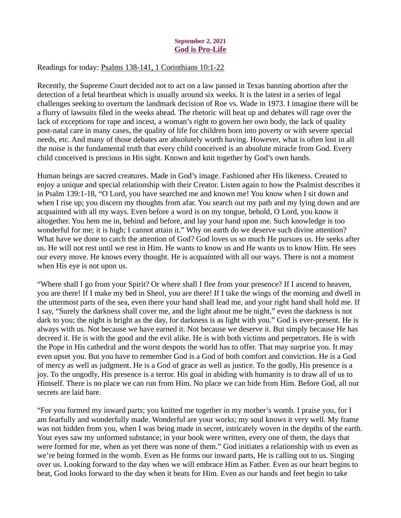## September 2, 2021 God is Pro-Life

## <span id="page-4-0"></span>Readings for today[: Psalms 138-141, 1 Corinthians 10:1-22](https://www.biblegateway.com/passage/?search=Psalms+138-141%2C+1+Corinthians+10%3A1-22&version=NKJV)

Recently, the Supreme Court decided not to act on a law passed in Texas banning abortion after the detection of a fetal heartbeat which is usually around six weeks. It is the latest in a series of legal challenges seeking to overturn the landmark decision of Roe vs. Wade in 1973. I imagine there will be a flurry of lawsuits filed in the weeks ahead. The rhetoric will heat up and debates will rage over the lack of exceptions for rape and incest, a woman's right to govern her own body, the lack of quality post-natal care in many cases, the quality of life for children born into poverty or with severe special needs, etc. And many of those debates are absolutely worth having. However, what is often lost in all the noise is the fundamental truth that every child conceived is an absolute miracle from God. Every child conceived is precious in His sight. Known and knit together by God's own hands.

Human beings are sacred creatures. Made in God's image. Fashioned after His likeness. Created to enjoy a unique and special relationship with their Creator. Listen again to how the Psalmist describes it in Psalm 139:1-18, "O Lord, you have searched me and known me! You know when I sit down and when I rise up; you discern my thoughts from afar. You search out my path and my lying down and are acquainted with all my ways. Even before a word is on my tongue, behold, O Lord, you know it altogether. You hem me in, behind and before, and lay your hand upon me. Such knowledge is too wonderful for me; it is high; I cannot attain it." Why on earth do we deserve such divine attention? What have we done to catch the attention of God? God loves us so much He pursues us. He seeks after us. He will not rest until we rest in Him. He wants to know us and He wants us to know Him. He sees our every move. He knows every thought. He is acquainted with all our ways. There is not a moment when His eye is not upon us.

"Where shall I go from your Spirit? Or where shall I flee from your presence? If I ascend to heaven, you are there! If I make my bed in Sheol, you are there! If I take the wings of the morning and dwell in the uttermost parts of the sea, even there your hand shall lead me, and your right hand shall hold me. If I say, "Surely the darkness shall cover me, and the light about me be night," even the darkness is not dark to you; the night is bright as the day, for darkness is as light with you." God is ever-present. He is always with us. Not because we have earned it. Not because we deserve it. But simply because He has decreed it. He is with the good and the evil alike. He is with both victims and perpetrators. He is with the Pope in His cathedral and the worst despots the world has to offer. That may surprise you. It may even upset you. But you have to remember God is a God of both comfort and conviction. He is a God of mercy as well as judgment. He is a God of grace as well as justice. To the godly, His presence is a joy. To the ungodly, His presence is a terror. His goal in abiding with humanity is to draw all of us to Himself. There is no place we can run from Him. No place we can hide from Him. Before God, all our secrets are laid bare.

"For you formed my inward parts; you knitted me together in my mother's womb. I praise you, for I am fearfully and wonderfully made. Wonderful are your works; my soul knows it very well. My frame was not hidden from you, when I was being made in secret, intricately woven in the depths of the earth. Your eyes saw my unformed substance; in your book were written, every one of them, the days that were formed for me, when as yet there was none of them." God initiates a relationship with us even as we're being formed in the womb. Even as He forms our inward parts, He is calling out to us. Singing over us. Looking forward to the day when we will embrace Him as Father. Even as our heart begins to beat, God looks forward to the day when it beats for Him. Even as our hands and feet begin to take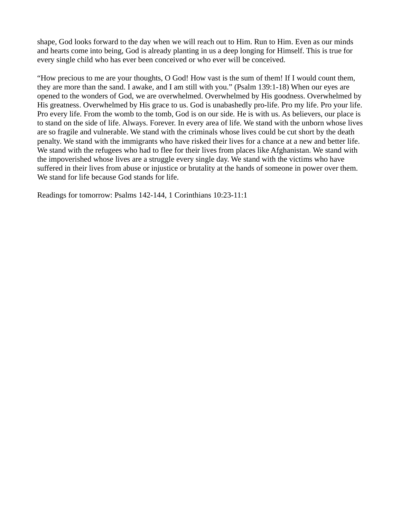shape, God looks forward to the day when we will reach out to Him. Run to Him. Even as our minds and hearts come into being, God is already planting in us a deep longing for Himself. This is true for every single child who has ever been conceived or who ever will be conceived.

"How precious to me are your thoughts, O God! How vast is the sum of them! If I would count them, they are more than the sand. I awake, and I am still with you." (Psalm 139:1-18) When our eyes are opened to the wonders of God, we are overwhelmed. Overwhelmed by His goodness. Overwhelmed by His greatness. Overwhelmed by His grace to us. God is unabashedly pro-life. Pro my life. Pro your life. Pro every life. From the womb to the tomb, God is on our side. He is with us. As believers, our place is to stand on the side of life. Always. Forever. In every area of life. We stand with the unborn whose lives are so fragile and vulnerable. We stand with the criminals whose lives could be cut short by the death penalty. We stand with the immigrants who have risked their lives for a chance at a new and better life. We stand with the refugees who had to flee for their lives from places like Afghanistan. We stand with the impoverished whose lives are a struggle every single day. We stand with the victims who have suffered in their lives from abuse or injustice or brutality at the hands of someone in power over them. We stand for life because God stands for life.

Readings for tomorrow: Psalms 142-144, 1 Corinthians 10:23-11:1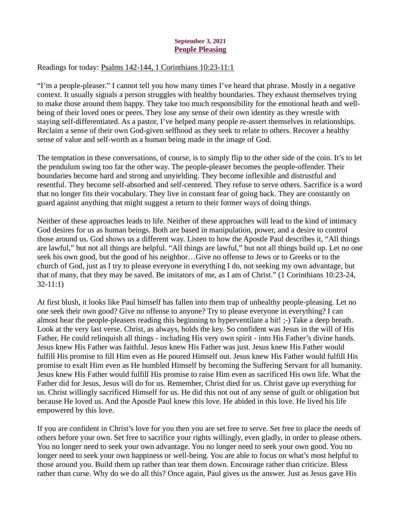## September 3, 2021 People Pleasing

## <span id="page-6-0"></span>Readings for today[: Psalms 142-144, 1 Corinthians 10:23-11:1](https://www.biblegateway.com/passage/?search=Psalms+142-144%2C+1+Corinthians+10%3A23-11%3A1&version=ESV)

"I'm a people-pleaser." I cannot tell you how many times I've heard that phrase. Mostly in a negative context. It usually signals a person struggles with healthy boundaries. They exhaust themselves trying to make those around them happy. They take too much responsibility for the emotional heath and wellbeing of their loved ones or peers. They lose any sense of their own identity as they wrestle with staying self-differentiated. As a pastor, I've helped many people re-assert themselves in relationships. Reclaim a sense of their own God-given selfhood as they seek to relate to others. Recover a healthy sense of value and self-worth as a human being made in the image of God.

The temptation in these conversations, of course, is to simply flip to the other side of the coin. It's to let the pendulum swing too far the other way. The people-pleaser becomes the people-offender. Their boundaries become hard and strong and unyielding. They become inflexible and distrustful and resentful. They become self-absorbed and self-centered. They refuse to serve others. Sacrifice is a word that no longer fits their vocabulary. They live in constant fear of going back. They are constantly on guard against anything that might suggest a return to their former ways of doing things.

Neither of these approaches leads to life. Neither of these approaches will lead to the kind of intimacy God desires for us as human beings. Both are based in manipulation, power, and a desire to control those around us. God shows us a different way. Listen to how the Apostle Paul describes it, "All things are lawful," but not all things are helpful. "All things are lawful," but not all things build up. Let no one seek his own good, but the good of his neighbor…Give no offense to Jews or to Greeks or to the church of God, just as I try to please everyone in everything I do, not seeking my own advantage, but that of many, that they may be saved. Be imitators of me, as I am of Christ." (1 Corinthians 10:23-24, 32-11:1)

At first blush, it looks like Paul himself has fallen into them trap of unhealthy people-pleasing. Let no one seek their own good? Give no offense to anyone? Try to please everyone in everything? I can almost hear the people-pleasers reading this beginning to hyperventilate a bit! ;-) Take a deep breath. Look at the very last verse. Christ, as always, holds the key. So confident was Jesus in the will of His Father, He could relinquish all things - including His very own spirit - into His Father's divine hands. Jesus knew His Father was faithful. Jesus knew His Father was just. Jesus knew His Father would fulfill His promise to fill Him even as He poured Himself out. Jesus knew His Father would fulfill His promise to exalt Him even as He humbled Himself by becoming the Suffering Servant for all humanity. Jesus knew His Father would fulfill His promise to raise Him even as sacrificed His own life. What the Father did for Jesus, Jesus will do for us. Remember, Christ died for us. Christ gave up everything for us. Christ willingly sacrificed Himself for us. He did this not out of any sense of guilt or obligation but because He loved us. And the Apostle Paul knew this love. He abided in this love. He lived his life empowered by this love.

If you are confident in Christ's love for you then you are set free to serve. Set free to place the needs of others before your own. Set free to sacrifice your rights willingly, even gladly, in order to please others. You no longer need to seek your own advantage. You no longer need to seek your own good. You no longer need to seek your own happiness or well-being. You are able to focus on what's most helpful to those around you. Build them up rather than tear them down. Encourage rather than criticize. Bless rather than curse. Why do we do all this? Once again, Paul gives us the answer. Just as Jesus gave His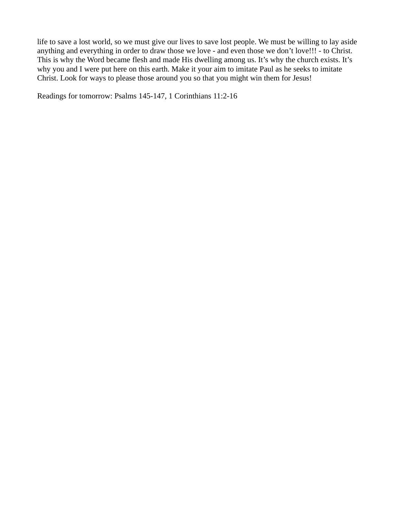life to save a lost world, so we must give our lives to save lost people. We must be willing to lay aside anything and everything in order to draw those we love - and even those we don't love!!! - to Christ. This is why the Word became flesh and made His dwelling among us. It's why the church exists. It's why you and I were put here on this earth. Make it your aim to imitate Paul as he seeks to imitate Christ. Look for ways to please those around you so that you might win them for Jesus!

Readings for tomorrow: Psalms 145-147, 1 Corinthians 11:2-16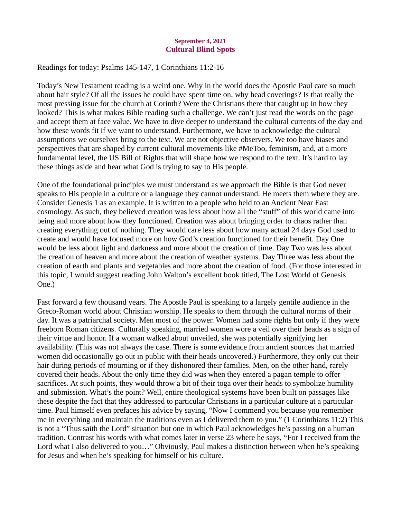## September 4, 2021 Cultural Blind Spots

## <span id="page-8-0"></span>Readings for today[: Psalms 145-147, 1 Corinthians 11:2-16](https://www.biblegateway.com/passage/?search=Psalms+145-147%2C+1+Corinthians+11%3A2-16&version=ESV)

Today's New Testament reading is a weird one. Why in the world does the Apostle Paul care so much about hair style? Of all the issues he could have spent time on, why head coverings? Is that really the most pressing issue for the church at Corinth? Were the Christians there that caught up in how they looked? This is what makes Bible reading such a challenge. We can't just read the words on the page and accept them at face value. We have to dive deeper to understand the cultural currents of the day and how these words fit if we want to understand. Furthermore, we have to acknowledge the cultural assumptions we ourselves bring to the text. We are not objective observers. We too have biases and perspectives that are shaped by current cultural movements like #MeToo, feminism, and, at a more fundamental level, the US Bill of Rights that will shape how we respond to the text. It's hard to lay these things aside and hear what God is trying to say to His people.

One of the foundational principles we must understand as we approach the Bible is that God never speaks to His people in a culture or a language they cannot understand. He meets them where they are. Consider Genesis 1 as an example. It is written to a people who held to an Ancient Near East cosmology. As such, they believed creation was less about how all the "stuff" of this world came into being and more about how they functioned. Creation was about bringing order to chaos rather than creating everything out of nothing. They would care less about how many actual 24 days God used to create and would have focused more on how God's creation functioned for their benefit. Day One would be less about light and darkness and more about the creation of time. Day Two was less about the creation of heaven and more about the creation of weather systems. Day Three was less about the creation of earth and plants and vegetables and more about the creation of food. (For those interested in this topic, I would suggest reading John Walton's excellent book titled, The Lost World of Genesis One.)

Fast forward a few thousand years. The Apostle Paul is speaking to a largely gentile audience in the Greco-Roman world about Christian worship. He speaks to them through the cultural norms of their day. It was a patriarchal society. Men most of the power. Women had some rights but only if they were freeborn Roman citizens. Culturally speaking, married women wore a veil over their heads as a sign of their virtue and honor. If a woman walked about unveiled, she was potentially signifying her availability. (This was not always the case. There is some evidence from ancient sources that married women did occasionally go out in public with their heads uncovered.) Furthermore, they only cut their hair during periods of mourning or if they dishonored their families. Men, on the other hand, rarely covered their heads. About the only time they did was when they entered a pagan temple to offer sacrifices. At such points, they would throw a bit of their toga over their heads to symbolize humility and submission. What's the point? Well, entire theological systems have been built on passages like these despite the fact that they addressed to particular Christians in a particular culture at a particular time. Paul himself even prefaces his advice by saying, "Now I commend you because you remember me in everything and maintain the traditions even as I delivered them to you." (1 Corinthians 11:2) This is not a "Thus saith the Lord" situation but one in which Paul acknowledges he's passing on a human tradition. Contrast his words with what comes later in verse 23 where he says, "For I received from the Lord what I also delivered to you…" Obviously, Paul makes a distinction between when he's speaking for Jesus and when he's speaking for himself or his culture.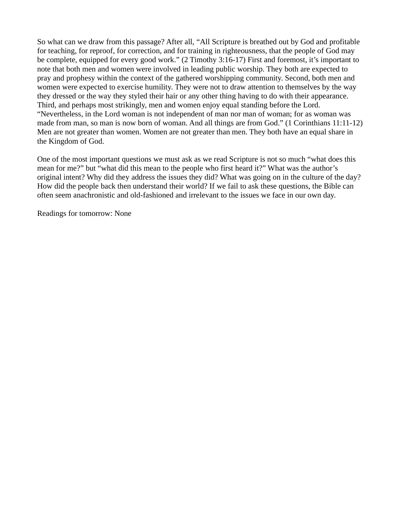So what can we draw from this passage? After all, "All Scripture is breathed out by God and profitable for teaching, for reproof, for correction, and for training in righteousness, that the people of God may be complete, equipped for every good work." (2 Timothy 3:16-17) First and foremost, it's important to note that both men and women were involved in leading public worship. They both are expected to pray and prophesy within the context of the gathered worshipping community. Second, both men and women were expected to exercise humility. They were not to draw attention to themselves by the way they dressed or the way they styled their hair or any other thing having to do with their appearance. Third, and perhaps most strikingly, men and women enjoy equal standing before the Lord. "Nevertheless, in the Lord woman is not independent of man nor man of woman; for as woman was made from man, so man is now born of woman. And all things are from God." (1 Corinthians 11:11-12) Men are not greater than women. Women are not greater than men. They both have an equal share in the Kingdom of God.

One of the most important questions we must ask as we read Scripture is not so much "what does this mean for me?" but "what did this mean to the people who first heard it?" What was the author's original intent? Why did they address the issues they did? What was going on in the culture of the day? How did the people back then understand their world? If we fail to ask these questions, the Bible can often seem anachronistic and old-fashioned and irrelevant to the issues we face in our own day.

Readings for tomorrow: None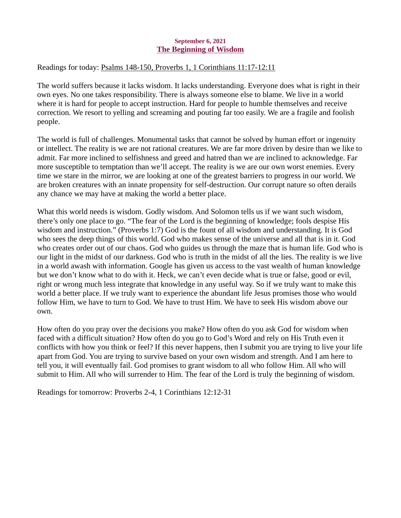## September 6, 2021 The Beginning of Wisdom

# <span id="page-10-0"></span>Readings for today[: Psalms 148-150, Proverbs 1, 1 Corinthians 11:17-12:11](https://www.biblegateway.com/passage/?search=Psalms+148-150%2C+Proverbs+1%2C+1+Corinthians+11%3A17-12%3A11&version=ESV)

The world suffers because it lacks wisdom. It lacks understanding. Everyone does what is right in their own eyes. No one takes responsibility. There is always someone else to blame. We live in a world where it is hard for people to accept instruction. Hard for people to humble themselves and receive correction. We resort to yelling and screaming and pouting far too easily. We are a fragile and foolish people.

The world is full of challenges. Monumental tasks that cannot be solved by human effort or ingenuity or intellect. The reality is we are not rational creatures. We are far more driven by desire than we like to admit. Far more inclined to selfishness and greed and hatred than we are inclined to acknowledge. Far more susceptible to temptation than we'll accept. The reality is we are our own worst enemies. Every time we stare in the mirror, we are looking at one of the greatest barriers to progress in our world. We are broken creatures with an innate propensity for self-destruction. Our corrupt nature so often derails any chance we may have at making the world a better place.

What this world needs is wisdom. Godly wisdom. And Solomon tells us if we want such wisdom, there's only one place to go. "The fear of the Lord is the beginning of knowledge; fools despise His wisdom and instruction." (Proverbs 1:7) God is the fount of all wisdom and understanding. It is God who sees the deep things of this world. God who makes sense of the universe and all that is in it. God who creates order out of our chaos. God who guides us through the maze that is human life. God who is our light in the midst of our darkness. God who is truth in the midst of all the lies. The reality is we live in a world awash with information. Google has given us access to the vast wealth of human knowledge but we don't know what to do with it. Heck, we can't even decide what is true or false, good or evil, right or wrong much less integrate that knowledge in any useful way. So if we truly want to make this world a better place. If we truly want to experience the abundant life Jesus promises those who would follow Him, we have to turn to God. We have to trust Him. We have to seek His wisdom above our own.

How often do you pray over the decisions you make? How often do you ask God for wisdom when faced with a difficult situation? How often do you go to God's Word and rely on His Truth even it conflicts with how you think or feel? If this never happens, then I submit you are trying to live your life apart from God. You are trying to survive based on your own wisdom and strength. And I am here to tell you, it will eventually fail. God promises to grant wisdom to all who follow Him. All who will submit to Him. All who will surrender to Him. The fear of the Lord is truly the beginning of wisdom.

Readings for tomorrow: Proverbs 2-4, 1 Corinthians 12:12-31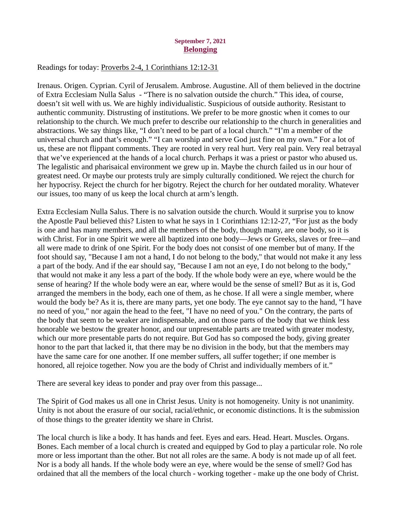## September 7, 2021 **Belonging**

## <span id="page-11-0"></span>Readings for toda[y: Proverbs 2-4, 1 Corinthians 12:12-31](https://www.biblegateway.com/passage/?search=Proverbs+2-4%2C+1+Corinthians+12%3A12-31&version=ESV)

Irenaus. Origen. Cyprian. Cyril of Jerusalem. Ambrose. Augustine. All of them believed in the doctrine of Extra Ecclesiam Nulla Salus - "There is no salvation outside the church." This idea, of course, doesn't sit well with us. We are highly individualistic. Suspicious of outside authority. Resistant to authentic community. Distrusting of institutions. We prefer to be more gnostic when it comes to our relationship to the church. We much prefer to describe our relationship to the church in generalities and abstractions. We say things like, "I don't need to be part of a local church." "I'm a member of the universal church and that's enough." "I can worship and serve God just fine on my own." For a lot of us, these are not flippant comments. They are rooted in very real hurt. Very real pain. Very real betrayal that we've experienced at the hands of a local church. Perhaps it was a priest or pastor who abused us. The legalistic and pharisaical environment we grew up in. Maybe the church failed us in our hour of greatest need. Or maybe our protests truly are simply culturally conditioned. We reject the church for her hypocrisy. Reject the church for her bigotry. Reject the church for her outdated morality. Whatever our issues, too many of us keep the local church at arm's length.

Extra Ecclesiam Nulla Salus. There is no salvation outside the church. Would it surprise you to know the Apostle Paul believed this? Listen to what he says in 1 Corinthians 12:12-27, "For just as the body is one and has many members, and all the members of the body, though many, are one body, so it is with Christ. For in one Spirit we were all baptized into one body—Jews or Greeks, slaves or free—and all were made to drink of one Spirit. For the body does not consist of one member but of many. If the foot should say, "Because I am not a hand, I do not belong to the body," that would not make it any less a part of the body. And if the ear should say, "Because I am not an eye, I do not belong to the body," that would not make it any less a part of the body. If the whole body were an eye, where would be the sense of hearing? If the whole body were an ear, where would be the sense of smell? But as it is, God arranged the members in the body, each one of them, as he chose. If all were a single member, where would the body be? As it is, there are many parts, yet one body. The eye cannot say to the hand, "I have no need of you," nor again the head to the feet, "I have no need of you." On the contrary, the parts of the body that seem to be weaker are indispensable, and on those parts of the body that we think less honorable we bestow the greater honor, and our unpresentable parts are treated with greater modesty, which our more presentable parts do not require. But God has so composed the body, giving greater honor to the part that lacked it, that there may be no division in the body, but that the members may have the same care for one another. If one member suffers, all suffer together; if one member is honored, all rejoice together. Now you are the body of Christ and individually members of it."

There are several key ideas to ponder and pray over from this passage...

The Spirit of God makes us all one in Christ Jesus. Unity is not homogeneity. Unity is not unanimity. Unity is not about the erasure of our social, racial/ethnic, or economic distinctions. It is the submission of those things to the greater identity we share in Christ.

The local church is like a body. It has hands and feet. Eyes and ears. Head. Heart. Muscles. Organs. Bones. Each member of a local church is created and equipped by God to play a particular role. No role more or less important than the other. But not all roles are the same. A body is not made up of all feet. Nor is a body all hands. If the whole body were an eye, where would be the sense of smell? God has ordained that all the members of the local church - working together - make up the one body of Christ.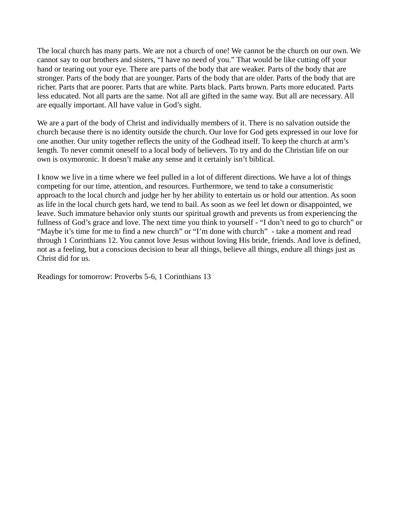The local church has many parts. We are not a church of one! We cannot be the church on our own. We cannot say to our brothers and sisters, "I have no need of you." That would be like cutting off your hand or tearing out your eye. There are parts of the body that are weaker. Parts of the body that are stronger. Parts of the body that are younger. Parts of the body that are older. Parts of the body that are richer. Parts that are poorer. Parts that are white. Parts black. Parts brown. Parts more educated. Parts less educated. Not all parts are the same. Not all are gifted in the same way. But all are necessary. All are equally important. All have value in God's sight.

We are a part of the body of Christ and individually members of it. There is no salvation outside the church because there is no identity outside the church. Our love for God gets expressed in our love for one another. Our unity together reflects the unity of the Godhead itself. To keep the church at arm's length. To never commit oneself to a local body of believers. To try and do the Christian life on our own is oxymoronic. It doesn't make any sense and it certainly isn't biblical.

I know we live in a time where we feel pulled in a lot of different directions. We have a lot of things competing for our time, attention, and resources. Furthermore, we tend to take a consumeristic approach to the local church and judge her by her ability to entertain us or hold our attention. As soon as life in the local church gets hard, we tend to bail. As soon as we feel let down or disappointed, we leave. Such immature behavior only stunts our spiritual growth and prevents us from experiencing the fullness of God's grace and love. The next time you think to yourself - "I don't need to go to church" or "Maybe it's time for me to find a new church" or "I'm done with church" - take a moment and read through 1 Corinthians 12. You cannot love Jesus without loving His bride, friends. And love is defined, not as a feeling, but a conscious decision to bear all things, believe all things, endure all things just as Christ did for us.

Readings for tomorrow: Proverbs 5-6, 1 Corinthians 13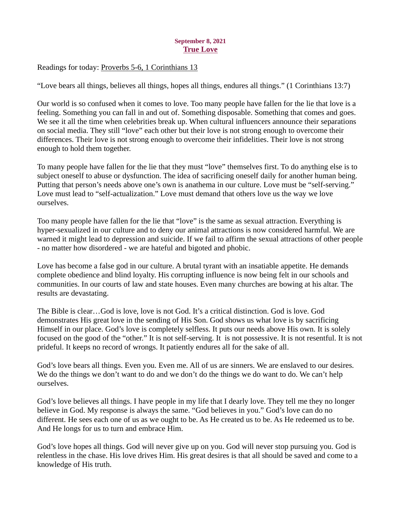# September 8, 2021 True Love

<span id="page-13-0"></span>Readings for today: [Proverbs 5-6, 1 Corinthians 13](https://www.biblegateway.com/passage/?search=Proverbs+5-6%2C+1+Corinthians+13&version=ESV)

"Love bears all things, believes all things, hopes all things, endures all things." (1 Corinthians 13:7)

Our world is so confused when it comes to love. Too many people have fallen for the lie that love is a feeling. Something you can fall in and out of. Something disposable. Something that comes and goes. We see it all the time when celebrities break up. When cultural influencers announce their separations on social media. They still "love" each other but their love is not strong enough to overcome their differences. Their love is not strong enough to overcome their infidelities. Their love is not strong enough to hold them together.

To many people have fallen for the lie that they must "love" themselves first. To do anything else is to subject oneself to abuse or dysfunction. The idea of sacrificing oneself daily for another human being. Putting that person's needs above one's own is anathema in our culture. Love must be "self-serving." Love must lead to "self-actualization." Love must demand that others love us the way we love ourselves.

Too many people have fallen for the lie that "love" is the same as sexual attraction. Everything is hyper-sexualized in our culture and to deny our animal attractions is now considered harmful. We are warned it might lead to depression and suicide. If we fail to affirm the sexual attractions of other people - no matter how disordered - we are hateful and bigoted and phobic.

Love has become a false god in our culture. A brutal tyrant with an insatiable appetite. He demands complete obedience and blind loyalty. His corrupting influence is now being felt in our schools and communities. In our courts of law and state houses. Even many churches are bowing at his altar. The results are devastating.

The Bible is clear…God is love, love is not God. It's a critical distinction. God is love. God demonstrates His great love in the sending of His Son. God shows us what love is by sacrificing Himself in our place. God's love is completely selfless. It puts our needs above His own. It is solely focused on the good of the "other." It is not self-serving. It is not possessive. It is not resentful. It is not prideful. It keeps no record of wrongs. It patiently endures all for the sake of all.

God's love bears all things. Even you. Even me. All of us are sinners. We are enslaved to our desires. We do the things we don't want to do and we don't do the things we do want to do. We can't help ourselves.

God's love believes all things. I have people in my life that I dearly love. They tell me they no longer believe in God. My response is always the same. "God believes in you." God's love can do no different. He sees each one of us as we ought to be. As He created us to be. As He redeemed us to be. And He longs for us to turn and embrace Him.

God's love hopes all things. God will never give up on you. God will never stop pursuing you. God is relentless in the chase. His love drives Him. His great desires is that all should be saved and come to a knowledge of His truth.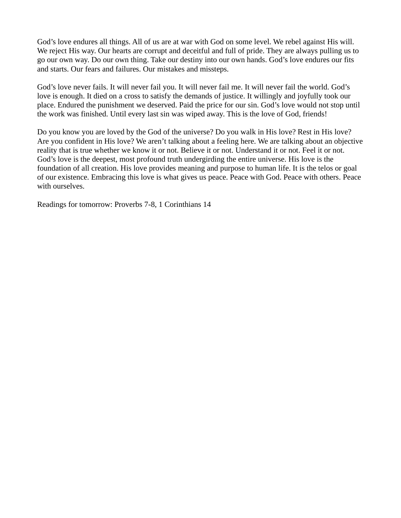God's love endures all things. All of us are at war with God on some level. We rebel against His will. We reject His way. Our hearts are corrupt and deceitful and full of pride. They are always pulling us to go our own way. Do our own thing. Take our destiny into our own hands. God's love endures our fits and starts. Our fears and failures. Our mistakes and missteps.

God's love never fails. It will never fail you. It will never fail me. It will never fail the world. God's love is enough. It died on a cross to satisfy the demands of justice. It willingly and joyfully took our place. Endured the punishment we deserved. Paid the price for our sin. God's love would not stop until the work was finished. Until every last sin was wiped away. This is the love of God, friends!

Do you know you are loved by the God of the universe? Do you walk in His love? Rest in His love? Are you confident in His love? We aren't talking about a feeling here. We are talking about an objective reality that is true whether we know it or not. Believe it or not. Understand it or not. Feel it or not. God's love is the deepest, most profound truth undergirding the entire universe. His love is the foundation of all creation. His love provides meaning and purpose to human life. It is the telos or goal of our existence. Embracing this love is what gives us peace. Peace with God. Peace with others. Peace with ourselves.

Readings for tomorrow: Proverbs 7-8, 1 Corinthians 14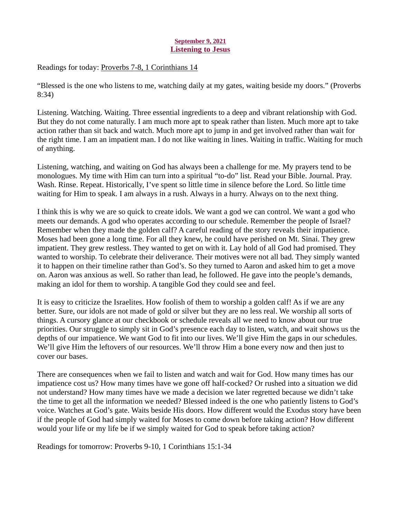# September 9, 2021 Listening to Jesus

<span id="page-15-0"></span>Readings for today[: Proverbs 7-8, 1 Corinthians 14](https://www.biblegateway.com/passage/?search=Proverbs+7-8%2C+1+Corinthians+14&version=ESV)

"Blessed is the one who listens to me, watching daily at my gates, waiting beside my doors." (Proverbs 8:34)

Listening. Watching. Waiting. Three essential ingredients to a deep and vibrant relationship with God. But they do not come naturally. I am much more apt to speak rather than listen. Much more apt to take action rather than sit back and watch. Much more apt to jump in and get involved rather than wait for the right time. I am an impatient man. I do not like waiting in lines. Waiting in traffic. Waiting for much of anything.

Listening, watching, and waiting on God has always been a challenge for me. My prayers tend to be monologues. My time with Him can turn into a spiritual "to-do" list. Read your Bible. Journal. Pray. Wash. Rinse. Repeat. Historically, I've spent so little time in silence before the Lord. So little time waiting for Him to speak. I am always in a rush. Always in a hurry. Always on to the next thing.

I think this is why we are so quick to create idols. We want a god we can control. We want a god who meets our demands. A god who operates according to our schedule. Remember the people of Israel? Remember when they made the golden calf? A careful reading of the story reveals their impatience. Moses had been gone a long time. For all they knew, he could have perished on Mt. Sinai. They grew impatient. They grew restless. They wanted to get on with it. Lay hold of all God had promised. They wanted to worship. To celebrate their deliverance. Their motives were not all bad. They simply wanted it to happen on their timeline rather than God's. So they turned to Aaron and asked him to get a move on. Aaron was anxious as well. So rather than lead, he followed. He gave into the people's demands, making an idol for them to worship. A tangible God they could see and feel.

It is easy to criticize the Israelites. How foolish of them to worship a golden calf! As if we are any better. Sure, our idols are not made of gold or silver but they are no less real. We worship all sorts of things. A cursory glance at our checkbook or schedule reveals all we need to know about our true priorities. Our struggle to simply sit in God's presence each day to listen, watch, and wait shows us the depths of our impatience. We want God to fit into our lives. We'll give Him the gaps in our schedules. We'll give Him the leftovers of our resources. We'll throw Him a bone every now and then just to cover our bases.

There are consequences when we fail to listen and watch and wait for God. How many times has our impatience cost us? How many times have we gone off half-cocked? Or rushed into a situation we did not understand? How many times have we made a decision we later regretted because we didn't take the time to get all the information we needed? Blessed indeed is the one who patiently listens to God's voice. Watches at God's gate. Waits beside His doors. How different would the Exodus story have been if the people of God had simply waited for Moses to come down before taking action? How different would your life or my life be if we simply waited for God to speak before taking action?

Readings for tomorrow: Proverbs 9-10, 1 Corinthians 15:1-34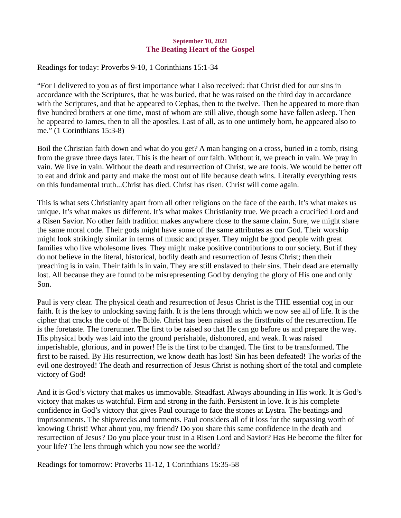## September 10, 2021 The Beating Heart of the Gospel

# <span id="page-16-0"></span>Readings for today[: Proverbs 9-10, 1 Corinthians 15:1-34](https://www.biblegateway.com/passage/?search=Proverbs+9-10%2C+1+Corinthians+15%3A1-34&version=ESV)

"For I delivered to you as of first importance what I also received: that Christ died for our sins in accordance with the Scriptures, that he was buried, that he was raised on the third day in accordance with the Scriptures, and that he appeared to Cephas, then to the twelve. Then he appeared to more than five hundred brothers at one time, most of whom are still alive, though some have fallen asleep. Then he appeared to James, then to all the apostles. Last of all, as to one untimely born, he appeared also to me." (1 Corinthians 15:3-8)

Boil the Christian faith down and what do you get? A man hanging on a cross, buried in a tomb, rising from the grave three days later. This is the heart of our faith. Without it, we preach in vain. We pray in vain. We live in vain. Without the death and resurrection of Christ, we are fools. We would be better off to eat and drink and party and make the most out of life because death wins. Literally everything rests on this fundamental truth...Christ has died. Christ has risen. Christ will come again.

This is what sets Christianity apart from all other religions on the face of the earth. It's what makes us unique. It's what makes us different. It's what makes Christianity true. We preach a crucified Lord and a Risen Savior. No other faith tradition makes anywhere close to the same claim. Sure, we might share the same moral code. Their gods might have some of the same attributes as our God. Their worship might look strikingly similar in terms of music and prayer. They might be good people with great families who live wholesome lives. They might make positive contributions to our society. But if they do not believe in the literal, historical, bodily death and resurrection of Jesus Christ; then their preaching is in vain. Their faith is in vain. They are still enslaved to their sins. Their dead are eternally lost. All because they are found to be misrepresenting God by denying the glory of His one and only Son.

Paul is very clear. The physical death and resurrection of Jesus Christ is the THE essential cog in our faith. It is the key to unlocking saving faith. It is the lens through which we now see all of life. It is the cipher that cracks the code of the Bible. Christ has been raised as the firstfruits of the resurrection. He is the foretaste. The forerunner. The first to be raised so that He can go before us and prepare the way. His physical body was laid into the ground perishable, dishonored, and weak. It was raised imperishable, glorious, and in power! He is the first to be changed. The first to be transformed. The first to be raised. By His resurrection, we know death has lost! Sin has been defeated! The works of the evil one destroyed! The death and resurrection of Jesus Christ is nothing short of the total and complete victory of God!

And it is God's victory that makes us immovable. Steadfast. Always abounding in His work. It is God's victory that makes us watchful. Firm and strong in the faith. Persistent in love. It is his complete confidence in God's victory that gives Paul courage to face the stones at Lystra. The beatings and imprisonments. The shipwrecks and torments. Paul considers all of it loss for the surpassing worth of knowing Christ! What about you, my friend? Do you share this same confidence in the death and resurrection of Jesus? Do you place your trust in a Risen Lord and Savior? Has He become the filter for your life? The lens through which you now see the world?

Readings for tomorrow: Proverbs 11-12, 1 Corinthians 15:35-58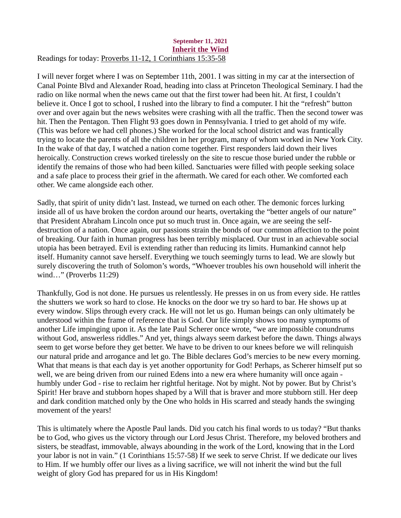#### <span id="page-17-0"></span>September 11, 2021 Inherit the Wind Readings for today[: Proverbs 11-12, 1 Corinthians 15:35-58](https://www.biblegateway.com/passage/?search=Proverbs+11-12%2C+1+Corinthians+15%3A35-58&version=ESV)

I will never forget where I was on September 11th, 2001. I was sitting in my car at the intersection of Canal Pointe Blvd and Alexander Road, heading into class at Princeton Theological Seminary. I had the radio on like normal when the news came out that the first tower had been hit. At first, I couldn't believe it. Once I got to school, I rushed into the library to find a computer. I hit the "refresh" button over and over again but the news websites were crashing with all the traffic. Then the second tower was hit. Then the Pentagon. Then Flight 93 goes down in Pennsylvania. I tried to get ahold of my wife. (This was before we had cell phones.) She worked for the local school district and was frantically trying to locate the parents of all the children in her program, many of whom worked in New York City. In the wake of that day, I watched a nation come together. First responders laid down their lives heroically. Construction crews worked tirelessly on the site to rescue those buried under the rubble or identify the remains of those who had been killed. Sanctuaries were filled with people seeking solace and a safe place to process their grief in the aftermath. We cared for each other. We comforted each other. We came alongside each other.

Sadly, that spirit of unity didn't last. Instead, we turned on each other. The demonic forces lurking inside all of us have broken the cordon around our hearts, overtaking the "better angels of our nature" that President Abraham Lincoln once put so much trust in. Once again, we are seeing the selfdestruction of a nation. Once again, our passions strain the bonds of our common affection to the point of breaking. Our faith in human progress has been terribly misplaced. Our trust in an achievable social utopia has been betrayed. Evil is extending rather than reducing its limits. Humankind cannot help itself. Humanity cannot save herself. Everything we touch seemingly turns to lead. We are slowly but surely discovering the truth of Solomon's words, "Whoever troubles his own household will inherit the wind…" (Proverbs 11:29)

Thankfully, God is not done. He pursues us relentlessly. He presses in on us from every side. He rattles the shutters we work so hard to close. He knocks on the door we try so hard to bar. He shows up at every window. Slips through every crack. He will not let us go. Human beings can only ultimately be understood within the frame of reference that is God. Our life simply shows too many symptoms of another Life impinging upon it. As the late Paul Scherer once wrote, "we are impossible conundrums without God, answerless riddles." And yet, things always seem darkest before the dawn. Things always seem to get worse before they get better. We have to be driven to our knees before we will relinquish our natural pride and arrogance and let go. The Bible declares God's mercies to be new every morning. What that means is that each day is yet another opportunity for God! Perhaps, as Scherer himself put so well, we are being driven from our ruined Edens into a new era where humanity will once again humbly under God - rise to reclaim her rightful heritage. Not by might. Not by power. But by Christ's Spirit! Her brave and stubborn hopes shaped by a Will that is braver and more stubborn still. Her deep and dark condition matched only by the One who holds in His scarred and steady hands the swinging movement of the years!

This is ultimately where the Apostle Paul lands. Did you catch his final words to us today? "But thanks be to God, who gives us the victory through our Lord Jesus Christ. Therefore, my beloved brothers and sisters, be steadfast, immovable, always abounding in the work of the Lord, knowing that in the Lord your labor is not in vain." (1 Corinthians 15:57-58) If we seek to serve Christ. If we dedicate our lives to Him. If we humbly offer our lives as a living sacrifice, we will not inherit the wind but the full weight of glory God has prepared for us in His Kingdom!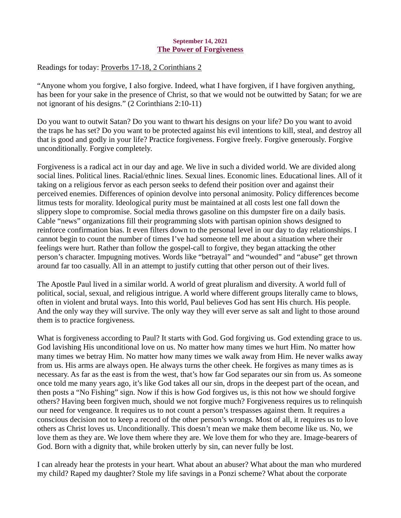## September 14, 2021 The Power of Forgiveness

<span id="page-18-0"></span>Readings for today: [Proverbs 17-18, 2 Corinthians 2](https://www.biblegateway.com/passage/?search=Proverbs+17-18%2C+2+Corinthians+2&version=ESV)

"Anyone whom you forgive, I also forgive. Indeed, what I have forgiven, if I have forgiven anything, has been for your sake in the presence of Christ, so that we would not be outwitted by Satan; for we are not ignorant of his designs." (2 Corinthians 2:10-11)

Do you want to outwit Satan? Do you want to thwart his designs on your life? Do you want to avoid the traps he has set? Do you want to be protected against his evil intentions to kill, steal, and destroy all that is good and godly in your life? Practice forgiveness. Forgive freely. Forgive generously. Forgive unconditionally. Forgive completely.

Forgiveness is a radical act in our day and age. We live in such a divided world. We are divided along social lines. Political lines. Racial/ethnic lines. Sexual lines. Economic lines. Educational lines. All of it taking on a religious fervor as each person seeks to defend their position over and against their perceived enemies. Differences of opinion devolve into personal animosity. Policy differences become litmus tests for morality. Ideological purity must be maintained at all costs lest one fall down the slippery slope to compromise. Social media throws gasoline on this dumpster fire on a daily basis. Cable "news" organizations fill their programming slots with partisan opinion shows designed to reinforce confirmation bias. It even filters down to the personal level in our day to day relationships. I cannot begin to count the number of times I've had someone tell me about a situation where their feelings were hurt. Rather than follow the gospel-call to forgive, they began attacking the other person's character. Impugning motives. Words like "betrayal" and "wounded" and "abuse" get thrown around far too casually. All in an attempt to justify cutting that other person out of their lives.

The Apostle Paul lived in a similar world. A world of great pluralism and diversity. A world full of political, social, sexual, and religious intrigue. A world where different groups literally came to blows, often in violent and brutal ways. Into this world, Paul believes God has sent His church. His people. And the only way they will survive. The only way they will ever serve as salt and light to those around them is to practice forgiveness.

What is forgiveness according to Paul? It starts with God. God forgiving us. God extending grace to us. God lavishing His unconditional love on us. No matter how many times we hurt Him. No matter how many times we betray Him. No matter how many times we walk away from Him. He never walks away from us. His arms are always open. He always turns the other cheek. He forgives as many times as is necessary. As far as the east is from the west, that's how far God separates our sin from us. As someone once told me many years ago, it's like God takes all our sin, drops in the deepest part of the ocean, and then posts a "No Fishing" sign. Now if this is how God forgives us, is this not how we should forgive others? Having been forgiven much, should we not forgive much? Forgiveness requires us to relinquish our need for vengeance. It requires us to not count a person's trespasses against them. It requires a conscious decision not to keep a record of the other person's wrongs. Most of all, it requires us to love others as Christ loves us. Unconditionally. This doesn't mean we make them become like us. No, we love them as they are. We love them where they are. We love them for who they are. Image-bearers of God. Born with a dignity that, while broken utterly by sin, can never fully be lost.

I can already hear the protests in your heart. What about an abuser? What about the man who murdered my child? Raped my daughter? Stole my life savings in a Ponzi scheme? What about the corporate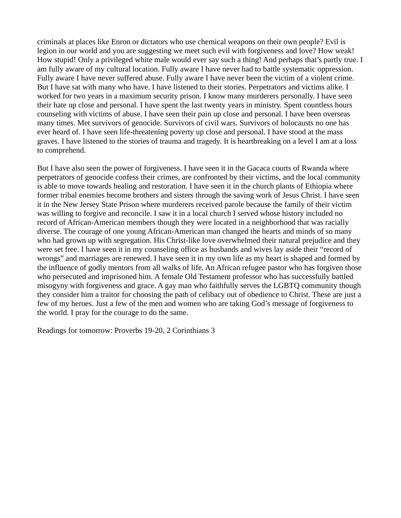criminals at places like Enron or dictators who use chemical weapons on their own people? Evil is legion in our world and you are suggesting we meet such evil with forgiveness and love? How weak! How stupid! Only a privileged white male would ever say such a thing! And perhaps that's partly true. I am fully aware of my cultural location. Fully aware I have never had to battle systematic oppression. Fully aware I have never suffered abuse. Fully aware I have never been the victim of a violent crime. But I have sat with many who have. I have listened to their stories. Perpetrators and victims alike. I worked for two years in a maximum security prison. I know many murderers personally. I have seen their hate up close and personal. I have spent the last twenty years in ministry. Spent countless hours counseling with victims of abuse. I have seen their pain up close and personal. I have been overseas many times. Met survivors of genocide. Survivors of civil wars. Survivors of holocausts no one has ever heard of. I have seen life-threatening poverty up close and personal. I have stood at the mass graves. I have listened to the stories of trauma and tragedy. It is heartbreaking on a level I am at a loss to comprehend.

But I have also seen the power of forgiveness. I have seen it in the Gacaca courts of Rwanda where perpetrators of genocide confess their crimes, are confronted by their victims, and the local community is able to move towards healing and restoration. I have seen it in the church plants of Ethiopia where former tribal enemies become brothers and sisters through the saving work of Jesus Christ. I have seen it in the New Jersey State Prison where murderers received parole because the family of their victim was willing to forgive and reconcile. I saw it in a local church I served whose history included no record of African-American members though they were located in a neighborhood that was racially diverse. The courage of one young African-American man changed the hearts and minds of so many who had grown up with segregation. His Christ-like love overwhelmed their natural prejudice and they were set free. I have seen it in my counseling office as husbands and wives lay aside their "record of wrongs" and marriages are renewed. I have seen it in my own life as my heart is shaped and formed by the influence of godly mentors from all walks of life. An African refugee pastor who has forgiven those who persecuted and imprisoned him. A female Old Testament professor who has successfully battled misogyny with forgiveness and grace. A gay man who faithfully serves the LGBTQ community though they consider him a traitor for choosing the path of celibacy out of obedience to Christ. These are just a few of my heroes. Just a few of the men and women who are taking God's message of forgiveness to the world. I pray for the courage to do the same.

Readings for tomorrow: Proverbs 19-20, 2 Corinthians 3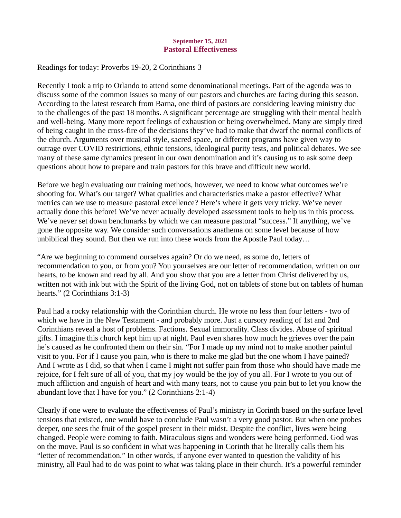## September 15, 2021 Pastoral Effectiveness

# <span id="page-20-0"></span>Readings for today: [Proverbs 19-20, 2 Corinthians 3](https://www.biblegateway.com/passage/?search=Proverbs+19-20%2C+2+Corinthians+3&version=ESV)

Recently I took a trip to Orlando to attend some denominational meetings. Part of the agenda was to discuss some of the common issues so many of our pastors and churches are facing during this season. According to the latest research from Barna, one third of pastors are considering leaving ministry due to the challenges of the past 18 months. A significant percentage are struggling with their mental health and well-being. Many more report feelings of exhaustion or being overwhelmed. Many are simply tired of being caught in the cross-fire of the decisions they've had to make that dwarf the normal conflicts of the church. Arguments over musical style, sacred space, or different programs have given way to outrage over COVID restrictions, ethnic tensions, ideological purity tests, and political debates. We see many of these same dynamics present in our own denomination and it's causing us to ask some deep questions about how to prepare and train pastors for this brave and difficult new world.

Before we begin evaluating our training methods, however, we need to know what outcomes we're shooting for. What's our target? What qualities and characteristics make a pastor effective? What metrics can we use to measure pastoral excellence? Here's where it gets very tricky. We've never actually done this before! We've never actually developed assessment tools to help us in this process. We've never set down benchmarks by which we can measure pastoral "success." If anything, we've gone the opposite way. We consider such conversations anathema on some level because of how unbiblical they sound. But then we run into these words from the Apostle Paul today…

"Are we beginning to commend ourselves again? Or do we need, as some do, letters of recommendation to you, or from you? You yourselves are our letter of recommendation, written on our hearts, to be known and read by all. And you show that you are a letter from Christ delivered by us, written not with ink but with the Spirit of the living God, not on tablets of stone but on tablets of human hearts." (2 Corinthians 3:1-3)

Paul had a rocky relationship with the Corinthian church. He wrote no less than four letters - two of which we have in the New Testament - and probably more. Just a cursory reading of 1st and 2nd Corinthians reveal a host of problems. Factions. Sexual immorality. Class divides. Abuse of spiritual gifts. I imagine this church kept him up at night. Paul even shares how much he grieves over the pain he's caused as he confronted them on their sin. "For I made up my mind not to make another painful visit to you. For if I cause you pain, who is there to make me glad but the one whom I have pained? And I wrote as I did, so that when I came I might not suffer pain from those who should have made me rejoice, for I felt sure of all of you, that my joy would be the joy of you all. For I wrote to you out of much affliction and anguish of heart and with many tears, not to cause you pain but to let you know the abundant love that I have for you." (2 Corinthians 2:1-4)

Clearly if one were to evaluate the effectiveness of Paul's ministry in Corinth based on the surface level tensions that existed, one would have to conclude Paul wasn't a very good pastor. But when one probes deeper, one sees the fruit of the gospel present in their midst. Despite the conflict, lives were being changed. People were coming to faith. Miraculous signs and wonders were being performed. God was on the move. Paul is so confident in what was happening in Corinth that he literally calls them his "letter of recommendation." In other words, if anyone ever wanted to question the validity of his ministry, all Paul had to do was point to what was taking place in their church. It's a powerful reminder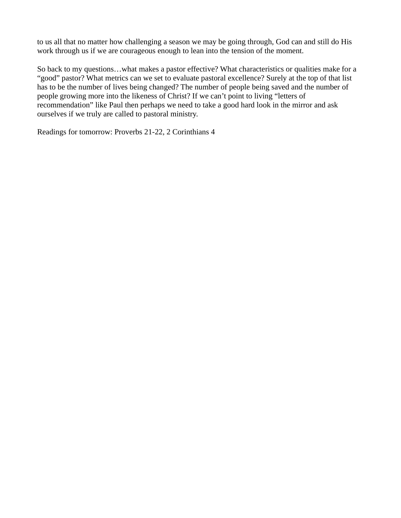to us all that no matter how challenging a season we may be going through, God can and still do His work through us if we are courageous enough to lean into the tension of the moment.

So back to my questions…what makes a pastor effective? What characteristics or qualities make for a "good" pastor? What metrics can we set to evaluate pastoral excellence? Surely at the top of that list has to be the number of lives being changed? The number of people being saved and the number of people growing more into the likeness of Christ? If we can't point to living "letters of recommendation" like Paul then perhaps we need to take a good hard look in the mirror and ask ourselves if we truly are called to pastoral ministry.

Readings for tomorrow: Proverbs 21-22, 2 Corinthians 4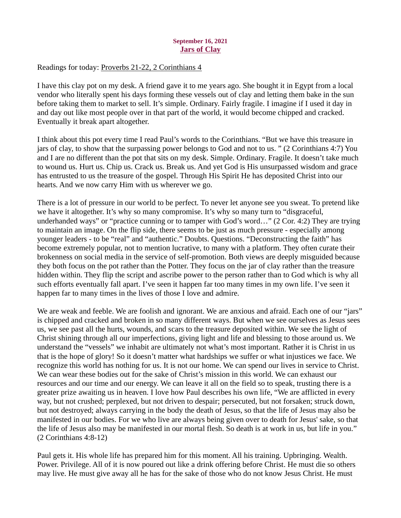## September 16, 2021 Jars of Clay

# <span id="page-22-0"></span>Readings for today: [Proverbs 21-22, 2 Corinthians 4](https://www.biblegateway.com/passage/?search=Proverbs+21-22%2C+2+Corinthians+4&version=ESV)

I have this clay pot on my desk. A friend gave it to me years ago. She bought it in Egypt from a local vendor who literally spent his days forming these vessels out of clay and letting them bake in the sun before taking them to market to sell. It's simple. Ordinary. Fairly fragile. I imagine if I used it day in and day out like most people over in that part of the world, it would become chipped and cracked. Eventually it break apart altogether.

I think about this pot every time I read Paul's words to the Corinthians. "But we have this treasure in jars of clay, to show that the surpassing power belongs to God and not to us. " (2 Corinthians 4:7) You and I are no different than the pot that sits on my desk. Simple. Ordinary. Fragile. It doesn't take much to wound us. Hurt us. Chip us. Crack us. Break us. And yet God is His unsurpassed wisdom and grace has entrusted to us the treasure of the gospel. Through His Spirit He has deposited Christ into our hearts. And we now carry Him with us wherever we go.

There is a lot of pressure in our world to be perfect. To never let anyone see you sweat. To pretend like we have it altogether. It's why so many compromise. It's why so many turn to "disgraceful, underhanded ways" or "practice cunning or to tamper with God's word..." (2 Cor. 4:2) They are trying to maintain an image. On the flip side, there seems to be just as much pressure - especially among younger leaders - to be "real" and "authentic." Doubts. Questions. "Deconstructing the faith" has become extremely popular, not to mention lucrative, to many with a platform. They often curate their brokenness on social media in the service of self-promotion. Both views are deeply misguided because they both focus on the pot rather than the Potter. They focus on the jar of clay rather than the treasure hidden within. They flip the script and ascribe power to the person rather than to God which is why all such efforts eventually fall apart. I've seen it happen far too many times in my own life. I've seen it happen far to many times in the lives of those I love and admire.

We are weak and feeble. We are foolish and ignorant. We are anxious and afraid. Each one of our "jars" is chipped and cracked and broken in so many different ways. But when we see ourselves as Jesus sees us, we see past all the hurts, wounds, and scars to the treasure deposited within. We see the light of Christ shining through all our imperfections, giving light and life and blessing to those around us. We understand the "vessels" we inhabit are ultimately not what's most important. Rather it is Christ in us that is the hope of glory! So it doesn't matter what hardships we suffer or what injustices we face. We recognize this world has nothing for us. It is not our home. We can spend our lives in service to Christ. We can wear these bodies out for the sake of Christ's mission in this world. We can exhaust our resources and our time and our energy. We can leave it all on the field so to speak, trusting there is a greater prize awaiting us in heaven. I love how Paul describes his own life, "We are afflicted in every way, but not crushed; perplexed, but not driven to despair; persecuted, but not forsaken; struck down, but not destroyed; always carrying in the body the death of Jesus, so that the life of Jesus may also be manifested in our bodies. For we who live are always being given over to death for Jesus' sake, so that the life of Jesus also may be manifested in our mortal flesh. So death is at work in us, but life in you." (2 Corinthians 4:8-12)

Paul gets it. His whole life has prepared him for this moment. All his training. Upbringing. Wealth. Power. Privilege. All of it is now poured out like a drink offering before Christ. He must die so others may live. He must give away all he has for the sake of those who do not know Jesus Christ. He must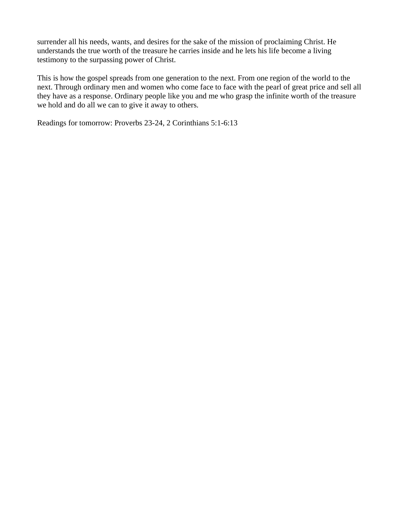surrender all his needs, wants, and desires for the sake of the mission of proclaiming Christ. He understands the true worth of the treasure he carries inside and he lets his life become a living testimony to the surpassing power of Christ.

This is how the gospel spreads from one generation to the next. From one region of the world to the next. Through ordinary men and women who come face to face with the pearl of great price and sell all they have as a response. Ordinary people like you and me who grasp the infinite worth of the treasure we hold and do all we can to give it away to others.

Readings for tomorrow: Proverbs 23-24, 2 Corinthians 5:1-6:13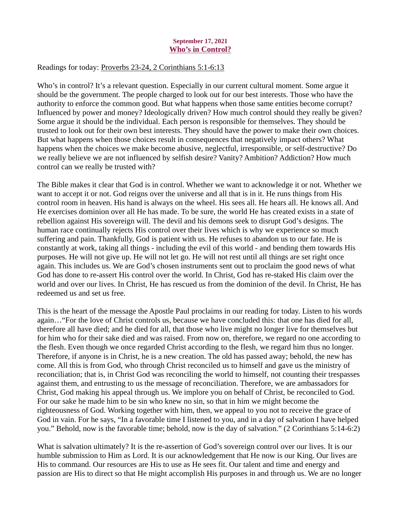## September 17, 2021 Who's in Control?

## <span id="page-24-0"></span>Readings for today: [Proverbs 23-24, 2 Corinthians 5:1-6:13](https://www.biblegateway.com/passage/?search=Proverbs+23-24%2C+2+Corinthians+5%3A1-6%3A13&version=ESV)

Who's in control? It's a relevant question. Especially in our current cultural moment. Some argue it should be the government. The people charged to look out for our best interests. Those who have the authority to enforce the common good. But what happens when those same entities become corrupt? Influenced by power and money? Ideologically driven? How much control should they really be given? Some argue it should be the individual. Each person is responsible for themselves. They should be trusted to look out for their own best interests. They should have the power to make their own choices. But what happens when those choices result in consequences that negatively impact others? What happens when the choices we make become abusive, neglectful, irresponsible, or self-destructive? Do we really believe we are not influenced by selfish desire? Vanity? Ambition? Addiction? How much control can we really be trusted with?

The Bible makes it clear that God is in control. Whether we want to acknowledge it or not. Whether we want to accept it or not. God reigns over the universe and all that is in it. He runs things from His control room in heaven. His hand is always on the wheel. His sees all. He hears all. He knows all. And He exercises dominion over all He has made. To be sure, the world He has created exists in a state of rebellion against His sovereign will. The devil and his demons seek to disrupt God's designs. The human race continually rejects His control over their lives which is why we experience so much suffering and pain. Thankfully, God is patient with us. He refuses to abandon us to our fate. He is constantly at work, taking all things - including the evil of this world - and bending them towards His purposes. He will not give up. He will not let go. He will not rest until all things are set right once again. This includes us. We are God's chosen instruments sent out to proclaim the good news of what God has done to re-assert His control over the world. In Christ, God has re-staked His claim over the world and over our lives. In Christ, He has rescued us from the dominion of the devil. In Christ, He has redeemed us and set us free.

This is the heart of the message the Apostle Paul proclaims in our reading for today. Listen to his words again…"For the love of Christ controls us, because we have concluded this: that one has died for all, therefore all have died; and he died for all, that those who live might no longer live for themselves but for him who for their sake died and was raised. From now on, therefore, we regard no one according to the flesh. Even though we once regarded Christ according to the flesh, we regard him thus no longer. Therefore, if anyone is in Christ, he is a new creation. The old has passed away; behold, the new has come. All this is from God, who through Christ reconciled us to himself and gave us the ministry of reconciliation; that is, in Christ God was reconciling the world to himself, not counting their trespasses against them, and entrusting to us the message of reconciliation. Therefore, we are ambassadors for Christ, God making his appeal through us. We implore you on behalf of Christ, be reconciled to God. For our sake he made him to be sin who knew no sin, so that in him we might become the righteousness of God. Working together with him, then, we appeal to you not to receive the grace of God in vain. For he says, "In a favorable time I listened to you, and in a day of salvation I have helped you." Behold, now is the favorable time; behold, now is the day of salvation." (2 Corinthians 5:14-6:2)

What is salvation ultimately? It is the re-assertion of God's sovereign control over our lives. It is our humble submission to Him as Lord. It is our acknowledgement that He now is our King. Our lives are His to command. Our resources are His to use as He sees fit. Our talent and time and energy and passion are His to direct so that He might accomplish His purposes in and through us. We are no longer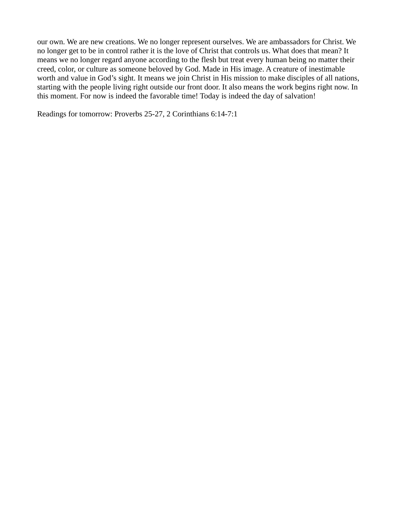our own. We are new creations. We no longer represent ourselves. We are ambassadors for Christ. We no longer get to be in control rather it is the love of Christ that controls us. What does that mean? It means we no longer regard anyone according to the flesh but treat every human being no matter their creed, color, or culture as someone beloved by God. Made in His image. A creature of inestimable worth and value in God's sight. It means we join Christ in His mission to make disciples of all nations, starting with the people living right outside our front door. It also means the work begins right now. In this moment. For now is indeed the favorable time! Today is indeed the day of salvation!

Readings for tomorrow: Proverbs 25-27, 2 Corinthians 6:14-7:1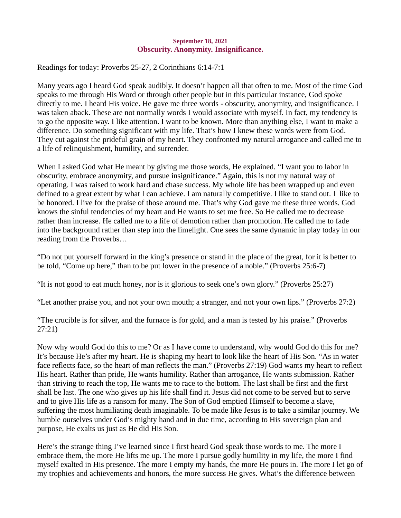## September 18, 2021 Obscurity. Anonymity. Insignificance.

<span id="page-26-0"></span>Readings for today[: Proverbs 25-27, 2 Corinthians 6:14-7:1](https://www.biblegateway.com/passage/?search=Proverbs+25-27%2C+2+Corinthians+6%3A14-7%3A1&version=ESV)

Many years ago I heard God speak audibly. It doesn't happen all that often to me. Most of the time God speaks to me through His Word or through other people but in this particular instance, God spoke directly to me. I heard His voice. He gave me three words - obscurity, anonymity, and insignificance. I was taken aback. These are not normally words I would associate with myself. In fact, my tendency is to go the opposite way. I like attention. I want to be known. More than anything else, I want to make a difference. Do something significant with my life. That's how I knew these words were from God. They cut against the prideful grain of my heart. They confronted my natural arrogance and called me to a life of relinquishment, humility, and surrender.

When I asked God what He meant by giving me those words, He explained. "I want you to labor in obscurity, embrace anonymity, and pursue insignificance." Again, this is not my natural way of operating. I was raised to work hard and chase success. My whole life has been wrapped up and even defined to a great extent by what I can achieve. I am naturally competitive. I like to stand out. I like to be honored. I live for the praise of those around me. That's why God gave me these three words. God knows the sinful tendencies of my heart and He wants to set me free. So He called me to decrease rather than increase. He called me to a life of demotion rather than promotion. He called me to fade into the background rather than step into the limelight. One sees the same dynamic in play today in our reading from the Proverbs…

"Do not put yourself forward in the king's presence or stand in the place of the great, for it is better to be told, "Come up here," than to be put lower in the presence of a noble." (Proverbs 25:6-7)

"It is not good to eat much honey, nor is it glorious to seek one's own glory." (Proverbs 25:27)

"Let another praise you, and not your own mouth; a stranger, and not your own lips." (Proverbs 27:2)

"The crucible is for silver, and the furnace is for gold, and a man is tested by his praise." (Proverbs 27:21)

Now why would God do this to me? Or as I have come to understand, why would God do this for me? It's because He's after my heart. He is shaping my heart to look like the heart of His Son. "As in water face reflects face, so the heart of man reflects the man." (Proverbs 27:19) God wants my heart to reflect His heart. Rather than pride, He wants humility. Rather than arrogance, He wants submission. Rather than striving to reach the top, He wants me to race to the bottom. The last shall be first and the first shall be last. The one who gives up his life shall find it. Jesus did not come to be served but to serve and to give His life as a ransom for many. The Son of God emptied Himself to become a slave, suffering the most humiliating death imaginable. To be made like Jesus is to take a similar journey. We humble ourselves under God's mighty hand and in due time, according to His sovereign plan and purpose, He exalts us just as He did His Son.

Here's the strange thing I've learned since I first heard God speak those words to me. The more I embrace them, the more He lifts me up. The more I pursue godly humility in my life, the more I find myself exalted in His presence. The more I empty my hands, the more He pours in. The more I let go of my trophies and achievements and honors, the more success He gives. What's the difference between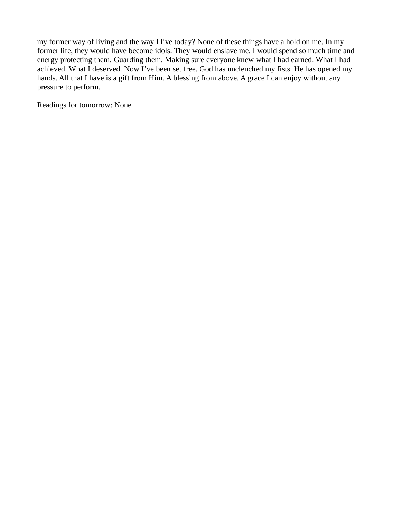my former way of living and the way I live today? None of these things have a hold on me. In my former life, they would have become idols. They would enslave me. I would spend so much time and energy protecting them. Guarding them. Making sure everyone knew what I had earned. What I had achieved. What I deserved. Now I've been set free. God has unclenched my fists. He has opened my hands. All that I have is a gift from Him. A blessing from above. A grace I can enjoy without any pressure to perform.

Readings for tomorrow: None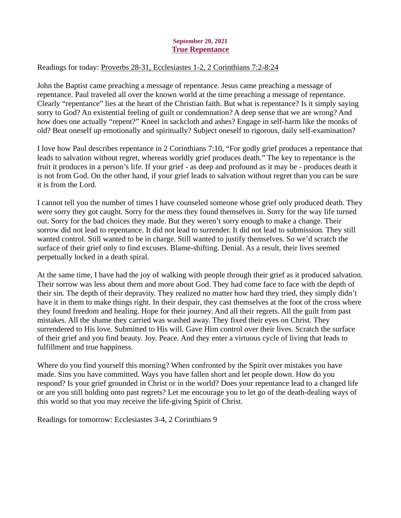## September 20, 2021 True Repentance

# <span id="page-28-0"></span>Readings for today[: Proverbs 28-31, Ecclesiastes 1-2, 2 Corinthians 7:2-8:24](https://www.biblegateway.com/passage/?search=Proverbs+28-31%2C+Ecclesiastes+1-2%2C+2+Corinthians+7%3A2-8%3A24&version=ESV)

John the Baptist came preaching a message of repentance. Jesus came preaching a message of repentance. Paul traveled all over the known world at the time preaching a message of repentance. Clearly "repentance" lies at the heart of the Christian faith. But what is repentance? Is it simply saying sorry to God? An existential feeling of guilt or condemnation? A deep sense that we are wrong? And how does one actually "repent?" Kneel in sackcloth and ashes? Engage in self-harm like the monks of old? Beat oneself up emotionally and spiritually? Subject oneself to rigorous, daily self-examination?

I love how Paul describes repentance in 2 Corinthians 7:10, "For godly grief produces a repentance that leads to salvation without regret, whereas worldly grief produces death." The key to repentance is the fruit it produces in a person's life. If your grief - as deep and profound as it may be - produces death it is not from God. On the other hand, if your grief leads to salvation without regret than you can be sure it is from the Lord.

I cannot tell you the number of times I have counseled someone whose grief only produced death. They were sorry they got caught. Sorry for the mess they found themselves in. Sorry for the way life turned out. Sorry for the bad choices they made. But they weren't sorry enough to make a change. Their sorrow did not lead to repentance. It did not lead to surrender. It did not lead to submission. They still wanted control. Still wanted to be in charge. Still wanted to justify themselves. So we'd scratch the surface of their grief only to find excuses. Blame-shifting. Denial. As a result, their lives seemed perpetually locked in a death spiral.

At the same time, I have had the joy of walking with people through their grief as it produced salvation. Their sorrow was less about them and more about God. They had come face to face with the depth of their sin. The depth of their depravity. They realized no matter how hard they tried, they simply didn't have it in them to make things right. In their despair, they cast themselves at the foot of the cross where they found freedom and healing. Hope for their journey. And all their regrets. All the guilt from past mistakes. All the shame they carried was washed away. They fixed their eyes on Christ. They surrendered to His love. Submitted to His will. Gave Him control over their lives. Scratch the surface of their grief and you find beauty. Joy. Peace. And they enter a virtuous cycle of living that leads to fulfillment and true happiness.

Where do you find yourself this morning? When confronted by the Spirit over mistakes you have made. Sins you have committed. Ways you have fallen short and let people down. How do you respond? Is your grief grounded in Christ or in the world? Does your repentance lead to a changed life or are you still holding onto past regrets? Let me encourage you to let go of the death-dealing ways of this world so that you may receive the life-giving Spirit of Christ.

Readings for tomorrow: Ecclesiastes 3-4, 2 Corinthians 9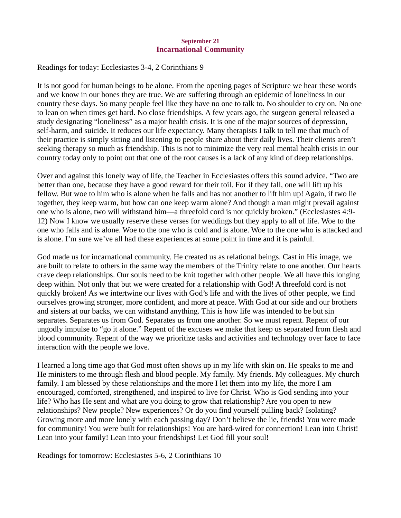## September 21 Incarnational Community

## <span id="page-29-0"></span>Readings for today[: Ecclesiastes 3-4, 2 Corinthians 9](https://www.biblegateway.com/passage/?search=Ecclesiastes+3-4%2C+2+Corinthians+9&version=ESV)

It is not good for human beings to be alone. From the opening pages of Scripture we hear these words and we know in our bones they are true. We are suffering through an epidemic of loneliness in our country these days. So many people feel like they have no one to talk to. No shoulder to cry on. No one to lean on when times get hard. No close friendships. A few years ago, the surgeon general released a study designating "loneliness" as a major health crisis. It is one of the major sources of depression, self-harm, and suicide. It reduces our life expectancy. Many therapists I talk to tell me that much of their practice is simply sitting and listening to people share about their daily lives. Their clients aren't seeking therapy so much as friendship. This is not to minimize the very real mental health crisis in our country today only to point out that one of the root causes is a lack of any kind of deep relationships.

Over and against this lonely way of life, the Teacher in Ecclesiastes offers this sound advice. "Two are better than one, because they have a good reward for their toil. For if they fall, one will lift up his fellow. But woe to him who is alone when he falls and has not another to lift him up! Again, if two lie together, they keep warm, but how can one keep warm alone? And though a man might prevail against one who is alone, two will withstand him—a threefold cord is not quickly broken." (Ecclesiastes 4:9- 12) Now I know we usually reserve these verses for weddings but they apply to all of life. Woe to the one who falls and is alone. Woe to the one who is cold and is alone. Woe to the one who is attacked and is alone. I'm sure we've all had these experiences at some point in time and it is painful.

God made us for incarnational community. He created us as relational beings. Cast in His image, we are built to relate to others in the same way the members of the Trinity relate to one another. Our hearts crave deep relationships. Our souls need to be knit together with other people. We all have this longing deep within. Not only that but we were created for a relationship with God! A threefold cord is not quickly broken! As we intertwine our lives with God's life and with the lives of other people, we find ourselves growing stronger, more confident, and more at peace. With God at our side and our brothers and sisters at our backs, we can withstand anything. This is how life was intended to be but sin separates. Separates us from God. Separates us from one another. So we must repent. Repent of our ungodly impulse to "go it alone." Repent of the excuses we make that keep us separated from flesh and blood community. Repent of the way we prioritize tasks and activities and technology over face to face interaction with the people we love.

I learned a long time ago that God most often shows up in my life with skin on. He speaks to me and He ministers to me through flesh and blood people. My family. My friends. My colleagues. My church family. I am blessed by these relationships and the more I let them into my life, the more I am encouraged, comforted, strengthened, and inspired to live for Christ. Who is God sending into your life? Who has He sent and what are you doing to grow that relationship? Are you open to new relationships? New people? New experiences? Or do you find yourself pulling back? Isolating? Growing more and more lonely with each passing day? Don't believe the lie, friends! You were made for community! You were built for relationships! You are hard-wired for connection! Lean into Christ! Lean into your family! Lean into your friendships! Let God fill your soul!

Readings for tomorrow: Ecclesiastes 5-6, 2 Corinthians 10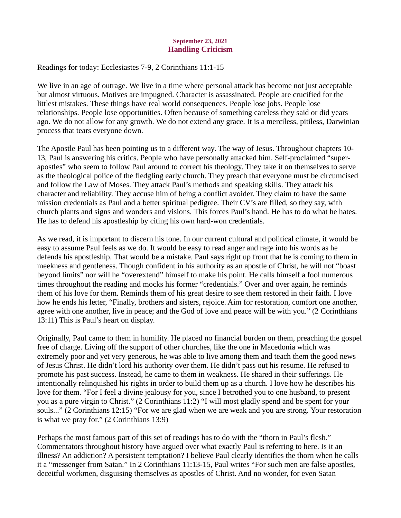## September 23, 2021 Handling Criticism

## <span id="page-30-0"></span>Readings for today: [Ecclesiastes 7-9, 2 Corinthians 11:1-15](https://www.biblegateway.com/passage/?search=Ecclesiastes+7-9%2C+2+Corinthians+11%3A1-15&version=ESV)

We live in an age of outrage. We live in a time where personal attack has become not just acceptable but almost virtuous. Motives are impugned. Character is assassinated. People are crucified for the littlest mistakes. These things have real world consequences. People lose jobs. People lose relationships. People lose opportunities. Often because of something careless they said or did years ago. We do not allow for any growth. We do not extend any grace. It is a merciless, pitiless, Darwinian process that tears everyone down.

The Apostle Paul has been pointing us to a different way. The way of Jesus. Throughout chapters 10- 13, Paul is answering his critics. People who have personally attacked him. Self-proclaimed "superapostles" who seem to follow Paul around to correct his theology. They take it on themselves to serve as the theological police of the fledgling early church. They preach that everyone must be circumcised and follow the Law of Moses. They attack Paul's methods and speaking skills. They attack his character and reliability. They accuse him of being a conflict avoider. They claim to have the same mission credentials as Paul and a better spiritual pedigree. Their CV's are filled, so they say, with church plants and signs and wonders and visions. This forces Paul's hand. He has to do what he hates. He has to defend his apostleship by citing his own hard-won credentials.

As we read, it is important to discern his tone. In our current cultural and political climate, it would be easy to assume Paul feels as we do. It would be easy to read anger and rage into his words as he defends his apostleship. That would be a mistake. Paul says right up front that he is coming to them in meekness and gentleness. Though confident in his authority as an apostle of Christ, he will not "boast beyond limits" nor will he "overextend" himself to make his point. He calls himself a fool numerous times throughout the reading and mocks his former "credentials." Over and over again, he reminds them of his love for them. Reminds them of his great desire to see them restored in their faith. I love how he ends his letter, "Finally, brothers and sisters, rejoice. Aim for restoration, comfort one another, agree with one another, live in peace; and the God of love and peace will be with you." (2 Corinthians 13:11) This is Paul's heart on display.

Originally, Paul came to them in humility. He placed no financial burden on them, preaching the gospel free of charge. Living off the support of other churches, like the one in Macedonia which was extremely poor and yet very generous, he was able to live among them and teach them the good news of Jesus Christ. He didn't lord his authority over them. He didn't pass out his resume. He refused to promote his past success. Instead, he came to them in weakness. He shared in their sufferings. He intentionally relinquished his rights in order to build them up as a church. I love how he describes his love for them. "For I feel a divine jealousy for you, since I betrothed you to one husband, to present you as a pure virgin to Christ." (2 Corinthians 11:2) "I will most gladly spend and be spent for your souls..." (2 Corinthians 12:15) "For we are glad when we are weak and you are strong. Your restoration is what we pray for." (2 Corinthians 13:9)

Perhaps the most famous part of this set of readings has to do with the "thorn in Paul's flesh." Commentators throughout history have argued over what exactly Paul is referring to here. Is it an illness? An addiction? A persistent temptation? I believe Paul clearly identifies the thorn when he calls it a "messenger from Satan." In 2 Corinthians 11:13-15, Paul writes "For such men are false apostles, deceitful workmen, disguising themselves as apostles of Christ. And no wonder, for even Satan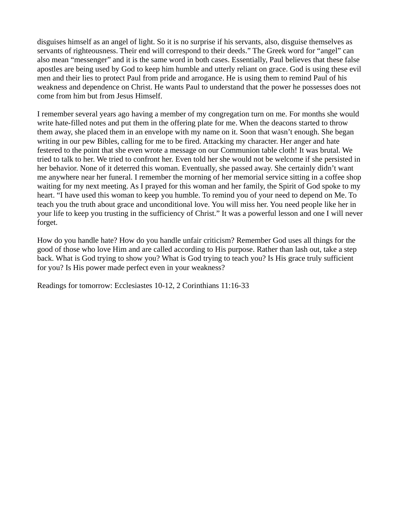disguises himself as an angel of light. So it is no surprise if his servants, also, disguise themselves as servants of righteousness. Their end will correspond to their deeds." The Greek word for "angel" can also mean "messenger" and it is the same word in both cases. Essentially, Paul believes that these false apostles are being used by God to keep him humble and utterly reliant on grace. God is using these evil men and their lies to protect Paul from pride and arrogance. He is using them to remind Paul of his weakness and dependence on Christ. He wants Paul to understand that the power he possesses does not come from him but from Jesus Himself.

I remember several years ago having a member of my congregation turn on me. For months she would write hate-filled notes and put them in the offering plate for me. When the deacons started to throw them away, she placed them in an envelope with my name on it. Soon that wasn't enough. She began writing in our pew Bibles, calling for me to be fired. Attacking my character. Her anger and hate festered to the point that she even wrote a message on our Communion table cloth! It was brutal. We tried to talk to her. We tried to confront her. Even told her she would not be welcome if she persisted in her behavior. None of it deterred this woman. Eventually, she passed away. She certainly didn't want me anywhere near her funeral. I remember the morning of her memorial service sitting in a coffee shop waiting for my next meeting. As I prayed for this woman and her family, the Spirit of God spoke to my heart. "I have used this woman to keep you humble. To remind you of your need to depend on Me. To teach you the truth about grace and unconditional love. You will miss her. You need people like her in your life to keep you trusting in the sufficiency of Christ." It was a powerful lesson and one I will never forget.

How do you handle hate? How do you handle unfair criticism? Remember God uses all things for the good of those who love Him and are called according to His purpose. Rather than lash out, take a step back. What is God trying to show you? What is God trying to teach you? Is His grace truly sufficient for you? Is His power made perfect even in your weakness?

Readings for tomorrow: Ecclesiastes 10-12, 2 Corinthians 11:16-33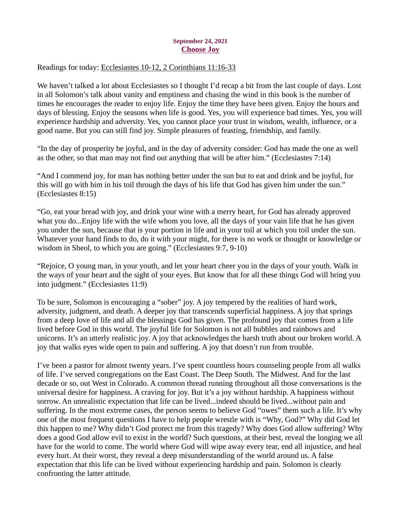## September 24, 2021 Choose Joy

# <span id="page-32-0"></span>Readings for today[: Ecclesiastes 10-12, 2 Corinthians 11:16-33](https://www.biblegateway.com/passage/?search=Ecclesiastes+10-12%2C+2+Corinthians+11%3A16-33&version=ESV)

We haven't talked a lot about Ecclesiastes so I thought I'd recap a bit from the last couple of days. Lost in all Solomon's talk about vanity and emptiness and chasing the wind in this book is the number of times he encourages the reader to enjoy life. Enjoy the time they have been given. Enjoy the hours and days of blessing. Enjoy the seasons when life is good. Yes, you will experience bad times. Yes, you will experience hardship and adversity. Yes, you cannot place your trust in wisdom, wealth, influence, or a good name. But you can still find joy. Simple pleasures of feasting, friendship, and family.

"In the day of prosperity be joyful, and in the day of adversity consider: God has made the one as well as the other, so that man may not find out anything that will be after him." (Ecclesiastes 7:14)

"And I commend joy, for man has nothing better under the sun but to eat and drink and be joyful, for this will go with him in his toil through the days of his life that God has given him under the sun." (Ecclesiastes 8:15)

"Go, eat your bread with joy, and drink your wine with a merry heart, for God has already approved what you do...Enjoy life with the wife whom you love, all the days of your vain life that he has given you under the sun, because that is your portion in life and in your toil at which you toil under the sun. Whatever your hand finds to do, do it with your might, for there is no work or thought or knowledge or wisdom in Sheol, to which you are going." (Ecclesiastes 9:7, 9-10)

"Rejoice, O young man, in your youth, and let your heart cheer you in the days of your youth. Walk in the ways of your heart and the sight of your eyes. But know that for all these things God will bring you into judgment." (Ecclesiastes 11:9)

To be sure, Solomon is encouraging a "sober" joy. A joy tempered by the realities of hard work, adversity, judgment, and death. A deeper joy that transcends superficial happiness. A joy that springs from a deep love of life and all the blessings God has given. The profound joy that comes from a life lived before God in this world. The joyful life for Solomon is not all bubbles and rainbows and unicorns. It's an utterly realistic joy. A joy that acknowledges the harsh truth about our broken world. A joy that walks eyes wide open to pain and suffering. A joy that doesn't run from trouble.

I've been a pastor for almost twenty years. I've spent countless hours counseling people from all walks of life. I've served congregations on the East Coast. The Deep South. The Midwest. And for the last decade or so, out West in Colorado. A common thread running throughout all those conversations is the universal desire for happiness. A craving for joy. But it's a joy without hardship. A happiness without sorrow. An unrealistic expectation that life can be lived...indeed should be lived...without pain and suffering. In the most extreme cases, the person seems to believe God "owes" them such a life. It's why one of the most frequent questions I have to help people wrestle with is "Why, God?" Why did God let this happen to me? Why didn't God protect me from this tragedy? Why does God allow suffering? Why does a good God allow evil to exist in the world? Such questions, at their best, reveal the longing we all have for the world to come. The world where God will wipe away every tear, end all injustice, and heal every hurt. At their worst, they reveal a deep misunderstanding of the world around us. A false expectation that this life can be lived without experiencing hardship and pain. Solomon is clearly confronting the latter attitude.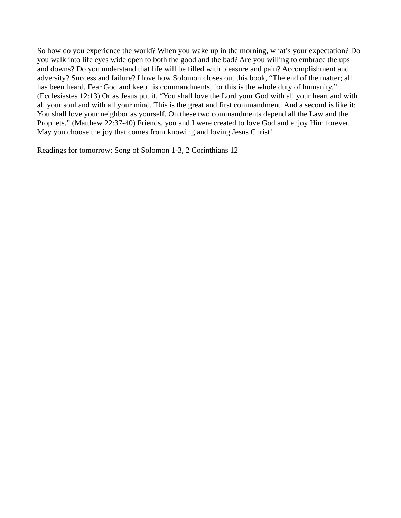So how do you experience the world? When you wake up in the morning, what's your expectation? Do you walk into life eyes wide open to both the good and the bad? Are you willing to embrace the ups and downs? Do you understand that life will be filled with pleasure and pain? Accomplishment and adversity? Success and failure? I love how Solomon closes out this book, "The end of the matter; all has been heard. Fear God and keep his commandments, for this is the whole duty of humanity." (Ecclesiastes 12:13) Or as Jesus put it, "You shall love the Lord your God with all your heart and with all your soul and with all your mind. This is the great and first commandment. And a second is like it: You shall love your neighbor as yourself. On these two commandments depend all the Law and the Prophets." (Matthew 22:37-40) Friends, you and I were created to love God and enjoy Him forever. May you choose the joy that comes from knowing and loving Jesus Christ!

Readings for tomorrow: Song of Solomon 1-3, 2 Corinthians 12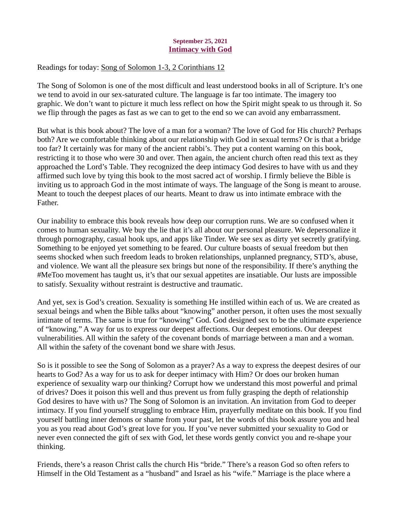## September 25, 2021 Intimacy with God

# <span id="page-34-0"></span>Readings for today: [Song of Solomon 1-3, 2 Corinthians 12](https://www.biblegateway.com/passage/?search=Song+of+Solomon+1-3%2C+2+Corinthians+12&version=ESV)

The Song of Solomon is one of the most difficult and least understood books in all of Scripture. It's one we tend to avoid in our sex-saturated culture. The language is far too intimate. The imagery too graphic. We don't want to picture it much less reflect on how the Spirit might speak to us through it. So we flip through the pages as fast as we can to get to the end so we can avoid any embarrassment.

But what is this book about? The love of a man for a woman? The love of God for His church? Perhaps both? Are we comfortable thinking about our relationship with God in sexual terms? Or is that a bridge too far? It certainly was for many of the ancient rabbi's. They put a content warning on this book, restricting it to those who were 30 and over. Then again, the ancient church often read this text as they approached the Lord's Table. They recognized the deep intimacy God desires to have with us and they affirmed such love by tying this book to the most sacred act of worship. I firmly believe the Bible is inviting us to approach God in the most intimate of ways. The language of the Song is meant to arouse. Meant to touch the deepest places of our hearts. Meant to draw us into intimate embrace with the Father.

Our inability to embrace this book reveals how deep our corruption runs. We are so confused when it comes to human sexuality. We buy the lie that it's all about our personal pleasure. We depersonalize it through pornography, casual hook ups, and apps like Tinder. We see sex as dirty yet secretly gratifying. Something to be enjoyed yet something to be feared. Our culture boasts of sexual freedom but then seems shocked when such freedom leads to broken relationships, unplanned pregnancy, STD's, abuse, and violence. We want all the pleasure sex brings but none of the responsibility. If there's anything the #MeToo movement has taught us, it's that our sexual appetites are insatiable. Our lusts are impossible to satisfy. Sexuality without restraint is destructive and traumatic.

And yet, sex is God's creation. Sexuality is something He instilled within each of us. We are created as sexual beings and when the Bible talks about "knowing" another person, it often uses the most sexually intimate of terms. The same is true for "knowing" God. God designed sex to be the ultimate experience of "knowing." A way for us to express our deepest affections. Our deepest emotions. Our deepest vulnerabilities. All within the safety of the covenant bonds of marriage between a man and a woman. All within the safety of the covenant bond we share with Jesus.

So is it possible to see the Song of Solomon as a prayer? As a way to express the deepest desires of our hearts to God? As a way for us to ask for deeper intimacy with Him? Or does our broken human experience of sexuality warp our thinking? Corrupt how we understand this most powerful and primal of drives? Does it poison this well and thus prevent us from fully grasping the depth of relationship God desires to have with us? The Song of Solomon is an invitation. An invitation from God to deeper intimacy. If you find yourself struggling to embrace Him, prayerfully meditate on this book. If you find yourself battling inner demons or shame from your past, let the words of this book assure you and heal you as you read about God's great love for you. If you've never submitted your sexuality to God or never even connected the gift of sex with God, let these words gently convict you and re-shape your thinking.

Friends, there's a reason Christ calls the church His "bride." There's a reason God so often refers to Himself in the Old Testament as a "husband" and Israel as his "wife." Marriage is the place where a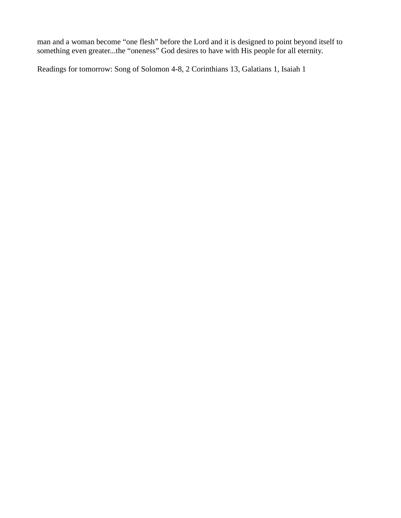man and a woman become "one flesh" before the Lord and it is designed to point beyond itself to something even greater...the "oneness" God desires to have with His people for all eternity.

Readings for tomorrow: Song of Solomon 4-8, 2 Corinthians 13, Galatians 1, Isaiah 1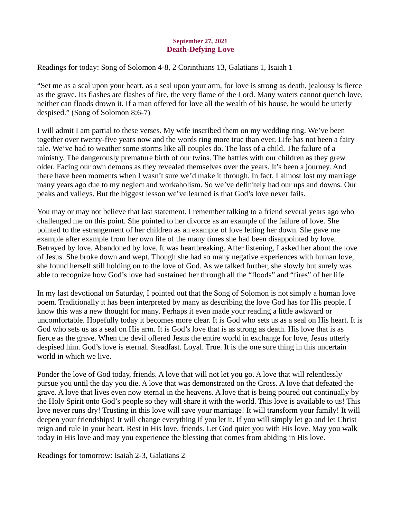## September 27, 2021 Death-Defying Love

<span id="page-36-0"></span>Readings for today[: Song of Solomon 4-8, 2 Corinthians 13, Galatians 1, Isaiah 1](https://www.biblegateway.com/passage/?search=Song+of+Solomon+4-8%2C+2+Corinthians+13%2C+Galatians+1%2C+Isaiah+1&version=ESV)

"Set me as a seal upon your heart, as a seal upon your arm, for love is strong as death, jealousy is fierce as the grave. Its flashes are flashes of fire, the very flame of the Lord. Many waters cannot quench love, neither can floods drown it. If a man offered for love all the wealth of his house, he would be utterly despised." (Song of Solomon 8:6-7)

I will admit I am partial to these verses. My wife inscribed them on my wedding ring. We've been together over twenty-five years now and the words ring more true than ever. Life has not been a fairy tale. We've had to weather some storms like all couples do. The loss of a child. The failure of a ministry. The dangerously premature birth of our twins. The battles with our children as they grew older. Facing our own demons as they revealed themselves over the years. It's been a journey. And there have been moments when I wasn't sure we'd make it through. In fact, I almost lost my marriage many years ago due to my neglect and workaholism. So we've definitely had our ups and downs. Our peaks and valleys. But the biggest lesson we've learned is that God's love never fails.

You may or may not believe that last statement. I remember talking to a friend several years ago who challenged me on this point. She pointed to her divorce as an example of the failure of love. She pointed to the estrangement of her children as an example of love letting her down. She gave me example after example from her own life of the many times she had been disappointed by love. Betrayed by love. Abandoned by love. It was heartbreaking. After listening, I asked her about the love of Jesus. She broke down and wept. Though she had so many negative experiences with human love, she found herself still holding on to the love of God. As we talked further, she slowly but surely was able to recognize how God's love had sustained her through all the "floods" and "fires" of her life.

In my last devotional on Saturday, I pointed out that the Song of Solomon is not simply a human love poem. Traditionally it has been interpreted by many as describing the love God has for His people. I know this was a new thought for many. Perhaps it even made your reading a little awkward or uncomfortable. Hopefully today it becomes more clear. It is God who sets us as a seal on His heart. It is God who sets us as a seal on His arm. It is God's love that is as strong as death. His love that is as fierce as the grave. When the devil offered Jesus the entire world in exchange for love, Jesus utterly despised him. God's love is eternal. Steadfast. Loyal. True. It is the one sure thing in this uncertain world in which we live.

Ponder the love of God today, friends. A love that will not let you go. A love that will relentlessly pursue you until the day you die. A love that was demonstrated on the Cross. A love that defeated the grave. A love that lives even now eternal in the heavens. A love that is being poured out continually by the Holy Spirit onto God's people so they will share it with the world. This love is available to us! This love never runs dry! Trusting in this love will save your marriage! It will transform your family! It will deepen your friendships! It will change everything if you let it. If you will simply let go and let Christ reign and rule in your heart. Rest in His love, friends. Let God quiet you with His love. May you walk today in His love and may you experience the blessing that comes from abiding in His love.

Readings for tomorrow: Isaiah 2-3, Galatians 2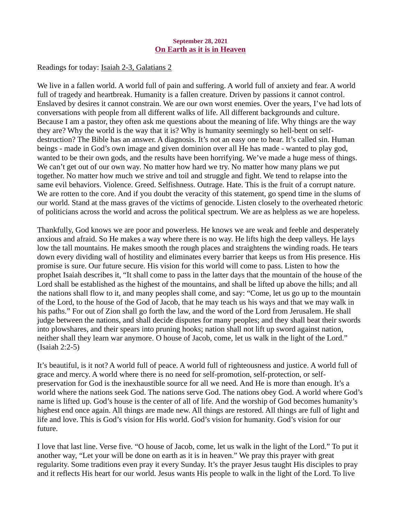## September 28, 2021 On Earth as it is in Heaven

<span id="page-37-0"></span>Readings for today: [Isaiah 2-3, Galatians 2](https://www.biblegateway.com/passage/?search=Isaiah+2-3%2C+Galatians+2&version=ESV)

We live in a fallen world. A world full of pain and suffering. A world full of anxiety and fear. A world full of tragedy and heartbreak. Humanity is a fallen creature. Driven by passions it cannot control. Enslaved by desires it cannot constrain. We are our own worst enemies. Over the years, I've had lots of conversations with people from all different walks of life. All different backgrounds and culture. Because I am a pastor, they often ask me questions about the meaning of life. Why things are the way they are? Why the world is the way that it is? Why is humanity seemingly so hell-bent on selfdestruction? The Bible has an answer. A diagnosis. It's not an easy one to hear. It's called sin. Human beings - made in God's own image and given dominion over all He has made - wanted to play god, wanted to be their own gods, and the results have been horrifying. We've made a huge mess of things. We can't get out of our own way. No matter how hard we try. No matter how many plans we put together. No matter how much we strive and toil and struggle and fight. We tend to relapse into the same evil behaviors. Violence. Greed. Selfishness. Outrage. Hate. This is the fruit of a corrupt nature. We are rotten to the core. And if you doubt the veracity of this statement, go spend time in the slums of our world. Stand at the mass graves of the victims of genocide. Listen closely to the overheated rhetoric of politicians across the world and across the political spectrum. We are as helpless as we are hopeless.

Thankfully, God knows we are poor and powerless. He knows we are weak and feeble and desperately anxious and afraid. So He makes a way where there is no way. He lifts high the deep valleys. He lays low the tall mountains. He makes smooth the rough places and straightens the winding roads. He tears down every dividing wall of hostility and eliminates every barrier that keeps us from His presence. His promise is sure. Our future secure. His vision for this world will come to pass. Listen to how the prophet Isaiah describes it, "It shall come to pass in the latter days that the mountain of the house of the Lord shall be established as the highest of the mountains, and shall be lifted up above the hills; and all the nations shall flow to it, and many peoples shall come, and say: "Come, let us go up to the mountain of the Lord, to the house of the God of Jacob, that he may teach us his ways and that we may walk in his paths." For out of Zion shall go forth the law, and the word of the Lord from Jerusalem. He shall judge between the nations, and shall decide disputes for many peoples; and they shall beat their swords into plowshares, and their spears into pruning hooks; nation shall not lift up sword against nation, neither shall they learn war anymore. O house of Jacob, come, let us walk in the light of the Lord." (Isaiah 2:2-5)

It's beautiful, is it not? A world full of peace. A world full of righteousness and justice. A world full of grace and mercy. A world where there is no need for self-promotion, self-protection, or selfpreservation for God is the inexhaustible source for all we need. And He is more than enough. It's a world where the nations seek God. The nations serve God. The nations obey God. A world where God's name is lifted up. God's house is the center of all of life. And the worship of God becomes humanity's highest end once again. All things are made new. All things are restored. All things are full of light and life and love. This is God's vision for His world. God's vision for humanity. God's vision for our future.

I love that last line. Verse five. "O house of Jacob, come, let us walk in the light of the Lord." To put it another way, "Let your will be done on earth as it is in heaven." We pray this prayer with great regularity. Some traditions even pray it every Sunday. It's the prayer Jesus taught His disciples to pray and it reflects His heart for our world. Jesus wants His people to walk in the light of the Lord. To live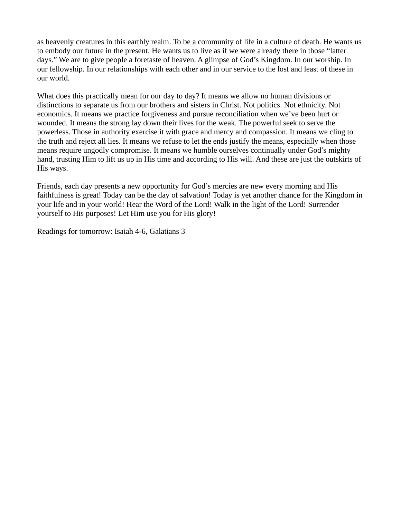as heavenly creatures in this earthly realm. To be a community of life in a culture of death. He wants us to embody our future in the present. He wants us to live as if we were already there in those "latter days." We are to give people a foretaste of heaven. A glimpse of God's Kingdom. In our worship. In our fellowship. In our relationships with each other and in our service to the lost and least of these in our world.

What does this practically mean for our day to day? It means we allow no human divisions or distinctions to separate us from our brothers and sisters in Christ. Not politics. Not ethnicity. Not economics. It means we practice forgiveness and pursue reconciliation when we've been hurt or wounded. It means the strong lay down their lives for the weak. The powerful seek to serve the powerless. Those in authority exercise it with grace and mercy and compassion. It means we cling to the truth and reject all lies. It means we refuse to let the ends justify the means, especially when those means require ungodly compromise. It means we humble ourselves continually under God's mighty hand, trusting Him to lift us up in His time and according to His will. And these are just the outskirts of His ways.

Friends, each day presents a new opportunity for God's mercies are new every morning and His faithfulness is great! Today can be the day of salvation! Today is yet another chance for the Kingdom in your life and in your world! Hear the Word of the Lord! Walk in the light of the Lord! Surrender yourself to His purposes! Let Him use you for His glory!

Readings for tomorrow: Isaiah 4-6, Galatians 3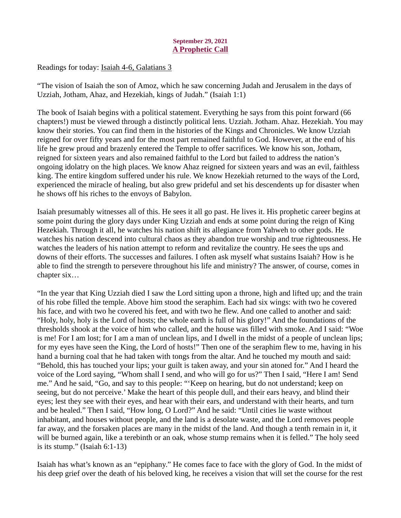# September 29, 2021 A Prophetic Call

<span id="page-39-0"></span>Readings for today[: Isaiah 4-6, Galatians 3](https://www.biblegateway.com/passage/?search=Isaiah+4-6%2C+Galatians+3&version=ESV)

"The vision of Isaiah the son of Amoz, which he saw concerning Judah and Jerusalem in the days of Uzziah, Jotham, Ahaz, and Hezekiah, kings of Judah." (Isaiah 1:1)

The book of Isaiah begins with a political statement. Everything he says from this point forward (66 chapters!) must be viewed through a distinctly political lens. Uzziah. Jotham. Ahaz. Hezekiah. You may know their stories. You can find them in the histories of the Kings and Chronicles. We know Uzziah reigned for over fifty years and for the most part remained faithful to God. However, at the end of his life he grew proud and brazenly entered the Temple to offer sacrifices. We know his son, Jotham, reigned for sixteen years and also remained faithful to the Lord but failed to address the nation's ongoing idolatry on the high places. We know Ahaz reigned for sixteen years and was an evil, faithless king. The entire kingdom suffered under his rule. We know Hezekiah returned to the ways of the Lord, experienced the miracle of healing, but also grew prideful and set his descendents up for disaster when he shows off his riches to the envoys of Babylon.

Isaiah presumably witnesses all of this. He sees it all go past. He lives it. His prophetic career begins at some point during the glory days under King Uzziah and ends at some point during the reign of King Hezekiah. Through it all, he watches his nation shift its allegiance from Yahweh to other gods. He watches his nation descend into cultural chaos as they abandon true worship and true righteousness. He watches the leaders of his nation attempt to reform and revitalize the country. He sees the ups and downs of their efforts. The successes and failures. I often ask myself what sustains Isaiah? How is he able to find the strength to persevere throughout his life and ministry? The answer, of course, comes in chapter six…

"In the year that King Uzziah died I saw the Lord sitting upon a throne, high and lifted up; and the train of his robe filled the temple. Above him stood the seraphim. Each had six wings: with two he covered his face, and with two he covered his feet, and with two he flew. And one called to another and said: "Holy, holy, holy is the Lord of hosts; the whole earth is full of his glory!" And the foundations of the thresholds shook at the voice of him who called, and the house was filled with smoke. And I said: "Woe is me! For I am lost; for I am a man of unclean lips, and I dwell in the midst of a people of unclean lips; for my eyes have seen the King, the Lord of hosts!" Then one of the seraphim flew to me, having in his hand a burning coal that he had taken with tongs from the altar. And he touched my mouth and said: "Behold, this has touched your lips; your guilt is taken away, and your sin atoned for." And I heard the voice of the Lord saying, "Whom shall I send, and who will go for us?" Then I said, "Here I am! Send me." And he said, "Go, and say to this people: "'Keep on hearing, but do not understand; keep on seeing, but do not perceive.' Make the heart of this people dull, and their ears heavy, and blind their eyes; lest they see with their eyes, and hear with their ears, and understand with their hearts, and turn and be healed." Then I said, "How long, O Lord?" And he said: "Until cities lie waste without inhabitant, and houses without people, and the land is a desolate waste, and the Lord removes people far away, and the forsaken places are many in the midst of the land. And though a tenth remain in it, it will be burned again, like a terebinth or an oak, whose stump remains when it is felled." The holy seed is its stump." (Isaiah 6:1-13)

Isaiah has what's known as an "epiphany." He comes face to face with the glory of God. In the midst of his deep grief over the death of his beloved king, he receives a vision that will set the course for the rest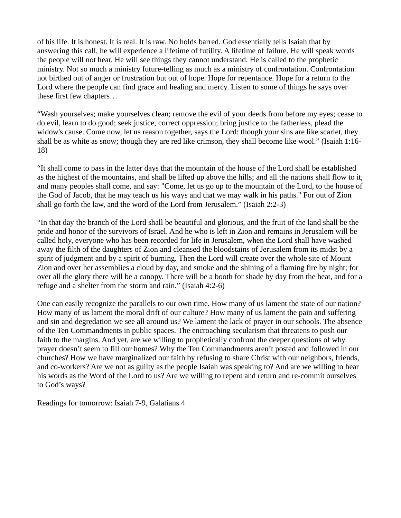of his life. It is honest. It is real. It is raw. No holds barred. God essentially tells Isaiah that by answering this call, he will experience a lifetime of futility. A lifetime of failure. He will speak words the people will not hear. He will see things they cannot understand. He is called to the prophetic ministry. Not so much a ministry future-telling as much as a ministry of confrontation. Confrontation not birthed out of anger or frustration but out of hope. Hope for repentance. Hope for a return to the Lord where the people can find grace and healing and mercy. Listen to some of things he says over these first few chapters…

"Wash yourselves; make yourselves clean; remove the evil of your deeds from before my eyes; cease to do evil, learn to do good; seek justice, correct oppression; bring justice to the fatherless, plead the widow's cause. Come now, let us reason together, says the Lord: though your sins are like scarlet, they shall be as white as snow; though they are red like crimson, they shall become like wool." (Isaiah 1:16- 18)

"It shall come to pass in the latter days that the mountain of the house of the Lord shall be established as the highest of the mountains, and shall be lifted up above the hills; and all the nations shall flow to it, and many peoples shall come, and say: "Come, let us go up to the mountain of the Lord, to the house of the God of Jacob, that he may teach us his ways and that we may walk in his paths." For out of Zion shall go forth the law, and the word of the Lord from Jerusalem." (Isaiah 2:2-3)

"In that day the branch of the Lord shall be beautiful and glorious, and the fruit of the land shall be the pride and honor of the survivors of Israel. And he who is left in Zion and remains in Jerusalem will be called holy, everyone who has been recorded for life in Jerusalem, when the Lord shall have washed away the filth of the daughters of Zion and cleansed the bloodstains of Jerusalem from its midst by a spirit of judgment and by a spirit of burning. Then the Lord will create over the whole site of Mount Zion and over her assemblies a cloud by day, and smoke and the shining of a flaming fire by night; for over all the glory there will be a canopy. There will be a booth for shade by day from the heat, and for a refuge and a shelter from the storm and rain." (Isaiah 4:2-6)

One can easily recognize the parallels to our own time. How many of us lament the state of our nation? How many of us lament the moral drift of our culture? How many of us lament the pain and suffering and sin and degredation we see all around us? We lament the lack of prayer in our schools. The absence of the Ten Commandments in public spaces. The encroaching secularism that threatens to push our faith to the margins. And yet, are we willing to prophetically confront the deeper questions of why prayer doesn't seem to fill our homes? Why the Ten Commandments aren't posted and followed in our churches? How we have marginalized our faith by refusing to share Christ with our neighbors, friends, and co-workers? Are we not as guilty as the people Isaiah was speaking to? And are we willing to hear his words as the Word of the Lord to us? Are we willing to repent and return and re-commit ourselves to God's ways?

Readings for tomorrow: Isaiah 7-9, Galatians 4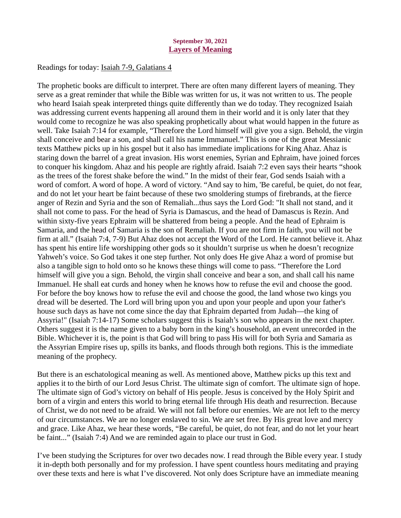#### September 30, 2021 Layers of Meaning

## <span id="page-41-0"></span>Readings for today[: Isaiah 7-9, Galatians 4](https://www.biblegateway.com/passage/?search=Isaiah+7-9%2C+Galatians+4&version=ESV)

The prophetic books are difficult to interpret. There are often many different layers of meaning. They serve as a great reminder that while the Bible was written for us, it was not written to us. The people who heard Isaiah speak interpreted things quite differently than we do today. They recognized Isaiah was addressing current events happening all around them in their world and it is only later that they would come to recognize he was also speaking prophetically about what would happen in the future as well. Take Isaiah 7:14 for example, "Therefore the Lord himself will give you a sign. Behold, the virgin shall conceive and bear a son, and shall call his name Immanuel." This is one of the great Messianic texts Matthew picks up in his gospel but it also has immediate implications for King Ahaz. Ahaz is staring down the barrel of a great invasion. His worst enemies, Syrian and Ephraim, have joined forces to conquer his kingdom. Ahaz and his people are rightly afraid. Isaiah 7:2 even says their hearts "shook as the trees of the forest shake before the wind." In the midst of their fear, God sends Isaiah with a word of comfort. A word of hope. A word of victory. "And say to him, 'Be careful, be quiet, do not fear, and do not let your heart be faint because of these two smoldering stumps of firebrands, at the fierce anger of Rezin and Syria and the son of Remaliah...thus says the Lord God: "It shall not stand, and it shall not come to pass. For the head of Syria is Damascus, and the head of Damascus is Rezin. And within sixty-five years Ephraim will be shattered from being a people. And the head of Ephraim is Samaria, and the head of Samaria is the son of Remaliah. If you are not firm in faith, you will not be firm at all." (Isaiah 7:4, 7-9) But Ahaz does not accept the Word of the Lord. He cannot believe it. Ahaz has spent his entire life worshipping other gods so it shouldn't surprise us when he doesn't recognize Yahweh's voice. So God takes it one step further. Not only does He give Ahaz a word of promise but also a tangible sign to hold onto so he knows these things will come to pass. "Therefore the Lord himself will give you a sign. Behold, the virgin shall conceive and bear a son, and shall call his name Immanuel. He shall eat curds and honey when he knows how to refuse the evil and choose the good. For before the boy knows how to refuse the evil and choose the good, the land whose two kings you dread will be deserted. The Lord will bring upon you and upon your people and upon your father's house such days as have not come since the day that Ephraim departed from Judah—the king of Assyria!" (Isaiah 7:14-17) Some scholars suggest this is Isaiah's son who appears in the next chapter. Others suggest it is the name given to a baby born in the king's household, an event unrecorded in the Bible. Whichever it is, the point is that God will bring to pass His will for both Syria and Samaria as the Assyrian Empire rises up, spills its banks, and floods through both regions. This is the immediate meaning of the prophecy.

But there is an eschatological meaning as well. As mentioned above, Matthew picks up this text and applies it to the birth of our Lord Jesus Christ. The ultimate sign of comfort. The ultimate sign of hope. The ultimate sign of God's victory on behalf of His people. Jesus is conceived by the Holy Spirit and born of a virgin and enters this world to bring eternal life through His death and resurrection. Because of Christ, we do not need to be afraid. We will not fall before our enemies. We are not left to the mercy of our circumstances. We are no longer enslaved to sin. We are set free. By His great love and mercy and grace. Like Ahaz, we hear these words, "Be careful, be quiet, do not fear, and do not let your heart be faint..." (Isaiah 7:4) And we are reminded again to place our trust in God.

I've been studying the Scriptures for over two decades now. I read through the Bible every year. I study it in-depth both personally and for my profession. I have spent countless hours meditating and praying over these texts and here is what I've discovered. Not only does Scripture have an immediate meaning